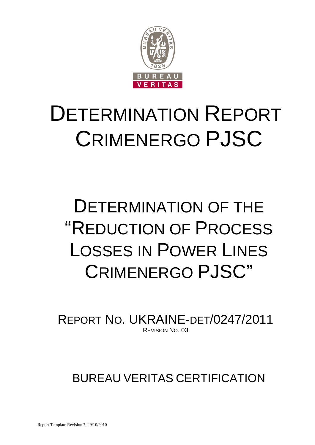

# DETERMINATION REPORT CRIMENERGO PJSC

# DETERMINATION OF THE "REDUCTION OF PROCESS LOSSES IN POWER LINES CRIMENERGO PJSC"

REPORT NO. UKRAINE-DET/0247/2011 REVISION NO. 03

BUREAU VERITAS CERTIFICATION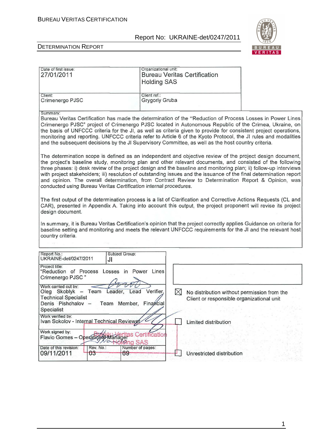

 $\overline{\phantom{0}}$ 

| Date of first issue:<br>27/01/2011                                                                                                                              | Organizational unit:<br><b>Bureau Veritas Certification</b><br><b>Holding SAS</b>                                                                                                                                                                                                                                                                                                                                                                                                                                                                                          |
|-----------------------------------------------------------------------------------------------------------------------------------------------------------------|----------------------------------------------------------------------------------------------------------------------------------------------------------------------------------------------------------------------------------------------------------------------------------------------------------------------------------------------------------------------------------------------------------------------------------------------------------------------------------------------------------------------------------------------------------------------------|
| Client:<br>Crimenergo PJSC                                                                                                                                      | Client ref.:<br>Grygoriy Gruba                                                                                                                                                                                                                                                                                                                                                                                                                                                                                                                                             |
| Summary:                                                                                                                                                        | Bureau Veritas Certification has made the determination of the "Reduction of Process Losses in Power Lines<br>Crimenergo PJSC" project of Crimenergo PJSC located in Autonomous Republic of the Crimea, Ukraine, on<br>the basis of UNFCCC criteria for the JI, as well as criteria given to provide for consistent project operations,<br>monitoring and reporting. UNFCCC criteria refer to Article 6 of the Kyoto Protocol, the JI rules and modalities<br>and the subsequent decisions by the JI Supervisory Committee, as well as the host country criteria.          |
| conducted using Bureau Veritas Certification internal procedures.                                                                                               | The determination scope is defined as an independent and objective review of the project design document,<br>the project's baseline study, monitoring plan and other relevant documents, and consisted of the following<br>three phases: i) desk review of the project design and the baseline and monitoring plan; ii) follow-up interviews<br>with project stakeholders; iii) resolution of outstanding issues and the issuance of the final determination report<br>and opinion. The overall determination, from Contract Review to Determination Report & Opinion, was |
| design document.                                                                                                                                                | The first output of the determination process is a list of Clarification and Corrective Actions Requests (CL and<br>CAR), presented in Appendix A. Taking into account this output, the project proponent will revise its project                                                                                                                                                                                                                                                                                                                                          |
| country criteria.                                                                                                                                               | In summary, it is Bureau Veritas Certification's opinion that the project correctly applies Guidance on criteria for<br>baseline setting and monitoring and meets the relevant UNFCCC requirements for the JI and the relevant host                                                                                                                                                                                                                                                                                                                                        |
| Report No.:<br>Subject Group:<br>UKRAINE-det/0247/2011<br>JI                                                                                                    |                                                                                                                                                                                                                                                                                                                                                                                                                                                                                                                                                                            |
| Project title:<br>"Reduction of Process Losses in Power Lines<br>Crimenergo PJSC"                                                                               |                                                                                                                                                                                                                                                                                                                                                                                                                                                                                                                                                                            |
| Work carried out by:<br>Oleg Skoblyk - Team Leader, Lead Verifier,<br><b>Technical Specialist</b><br>Denis Pishchalov -<br>Team Member, Financial<br>Specialist | $\boxtimes$<br>No distribution without permission from the<br>Client or responsible organizational unit                                                                                                                                                                                                                                                                                                                                                                                                                                                                    |
| Work verified by:<br>Ivan Sokolov - Internal Technical Reviewer<br>Work signed by:                                                                              | Limited distribution                                                                                                                                                                                                                                                                                                                                                                                                                                                                                                                                                       |
| Flavio Gomes - Operational Managers Certification<br><b>Mong SAS</b><br>Date of this revision:<br>Rev. No.:                                                     | Number of pages:                                                                                                                                                                                                                                                                                                                                                                                                                                                                                                                                                           |
| 09/11/2011<br>$03 -$<br>69-                                                                                                                                     | Unrestricted distribution                                                                                                                                                                                                                                                                                                                                                                                                                                                                                                                                                  |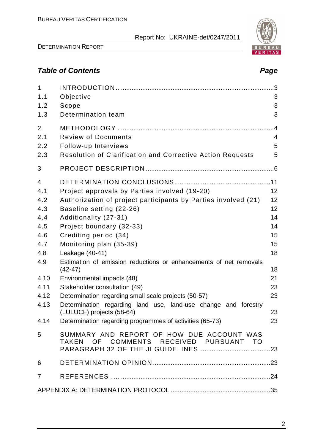

# **Table of Contents Page 2018**

| $\mathbf{1}$<br>1.1 | Objective                                                                                   | 3               |
|---------------------|---------------------------------------------------------------------------------------------|-----------------|
| 1.2                 | Scope                                                                                       | 3               |
| 1.3                 | Determination team                                                                          | 3               |
| 2                   |                                                                                             | $\overline{.4}$ |
| 2.1                 | <b>Review of Documents</b>                                                                  | $\overline{4}$  |
| 2.2                 | Follow-up Interviews                                                                        | 5               |
| 2.3                 | Resolution of Clarification and Corrective Action Requests                                  | 5               |
| 3                   |                                                                                             |                 |
| $\overline{4}$      |                                                                                             |                 |
| 4.1                 | Project approvals by Parties involved (19-20)                                               | 12              |
| 4.2                 | Authorization of project participants by Parties involved (21)                              | 12              |
| 4.3                 | Baseline setting (22-26)                                                                    | 12              |
| 4.4                 | Additionality (27-31)                                                                       | 14              |
| 4.5                 | Project boundary (32-33)                                                                    | 14              |
| 4.6                 | Crediting period (34)                                                                       | 15              |
| 4.7                 | Monitoring plan (35-39)                                                                     | 15              |
| 4.8                 | Leakage (40-41)                                                                             | 18              |
| 4.9                 | Estimation of emission reductions or enhancements of net removals<br>$(42-47)$              | 18              |
| 4.10                | Environmental impacts (48)                                                                  | 21              |
| 4.11                | Stakeholder consultation (49)                                                               | 23              |
| 4.12                | Determination regarding small scale projects (50-57)                                        | 23              |
| 4.13                | Determination regarding land use, land-use change and forestry<br>(LULUCF) projects (58-64) | 23              |
|                     | 4.14 Determination regarding programmes of activities (65-73)                               | 23              |
| 5                   | SUMMARY AND REPORT OF HOW DUE ACCOUNT WAS<br>TAKEN OF COMMENTS RECEIVED PURSUANT TO         |                 |
| 6                   |                                                                                             |                 |
| $\overline{7}$      |                                                                                             |                 |
|                     |                                                                                             |                 |

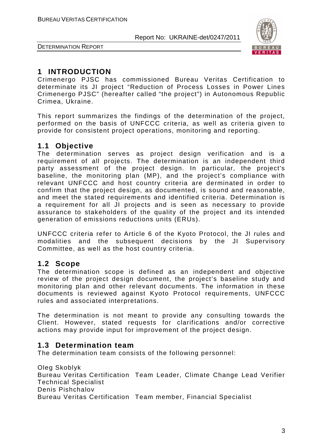

DETERMINATION REPORT

## **1 INTRODUCTION**

Crimenergo PJSC has commissioned Bureau Veritas Certification to determinate its JI project "Reduction of Process Losses in Power Lines Crimenergo PJSC" (hereafter called "the project") in Autonomous Republic Crimea, Ukraine.

This report summarizes the findings of the determination of the project, performed on the basis of UNFCCC criteria, as well as criteria given to provide for consistent project operations, monitoring and reporting.

#### **1.1 Objective**

The determination serves as project design verification and is a requirement of all projects. The determination is an independent third party assessment of the project design. In particular, the project's baseline, the monitoring plan (MP), and the project's compliance with relevant UNFCCC and host country criteria are derminated in order to confirm that the project design, as documented, is sound and reasonable, and meet the stated requirements and identified criteria. Determination is a requirement for all JI projects and is seen as necessary to provide assurance to stakeholders of the quality of the project and its intended generation of emissions reductions units (ERUs).

UNFCCC criteria refer to Article 6 of the Kyoto Protocol, the JI rules and modalities and the subsequent decisions by the JI Supervisory Committee, as well as the host country criteria.

#### **1.2 Scope**

The determination scope is defined as an independent and objective review of the project design document, the project's baseline study and monitoring plan and other relevant documents. The information in these documents is reviewed against Kyoto Protocol requirements, UNFCCC rules and associated interpretations.

The determination is not meant to provide any consulting towards the Client. However, stated requests for clarifications and/or corrective actions may provide input for improvement of the project design.

#### **1.3 Determination team**

The determination team consists of the following personnel:

Oleg Skoblyk Bureau Veritas Certification Team Leader, Climate Change Lead Verifier Technical Specialist Denis Pishchalov Bureau Veritas Certification Team member, Financial Specialist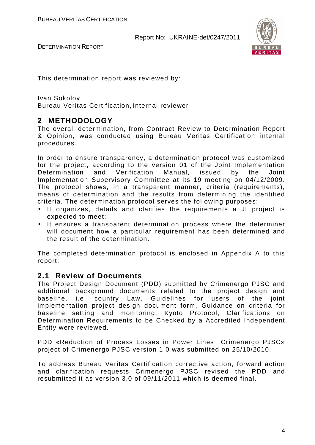

DETERMINATION REPORT

This determination report was reviewed by:

Ivan Sokolov Bureau Veritas Certification, Internal reviewer

#### **2 METHODOLOGY**

The overall determination, from Contract Review to Determination Report & Opinion, was conducted using Bureau Veritas Certification internal procedures.

In order to ensure transparency, a determination protocol was customized for the project, according to the version 01 of the Joint Implementation Determination and Verification Manual, issued by the Joint Implementation Supervisory Committee at its 19 meeting on 04/12/2009. The protocol shows, in a transparent manner, criteria (requirements), means of determination and the results from determining the identified criteria. The determination protocol serves the following purposes:

- It organizes, details and clarifies the requirements a JI project is expected to meet;
- It ensures a transparent determination process where the determiner will document how a particular requirement has been determined and the result of the determination.

The completed determination protocol is enclosed in Appendix A to this report.

#### **2.1 Review of Documents**

The Project Design Document (PDD) submitted by Crimenergo PJSC and additional background documents related to the project design and baseline, i.e. country Law, Guidelines for users of the joint implementation project design document form, Guidance on criteria for baseline setting and monitoring, Kyoto Protocol, Clarifications on Determination Requirements to be Checked by a Accredited Independent Entity were reviewed.

PDD «Reduction of Process Losses in Power Lines Crimenergo PJSC» project of Crimenergo PJSC version 1.0 was submitted on 25/10/2010.

To address Bureau Veritas Certification corrective action, forward action and clarification requests Crimenergo PJSC revised the PDD and resubmitted it as version 3.0 of 09/11/2011 which is deemed final.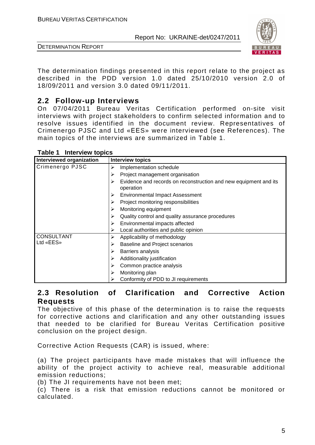



DETERMINATION REPORT

The determination findings presented in this report relate to the project as described in the PDD version 1.0 dated 25/10/2010 version 2.0 of 18/09/2011 and version 3.0 dated 09/11/2011.

#### **2.2 Follow-up Interviews**

On 07/04/2011 Bureau Veritas Certification performed on-site visit interviews with project stakeholders to confirm selected information and to resolve issues identified in the document review. Representatives of Crimenergo PJSC and Ltd «ЕЕS» were interviewed (see References). The main topics of the interviews are summarized in Table 1.

| Interviewed organization | Interview topics                                                                   |
|--------------------------|------------------------------------------------------------------------------------|
| Crimenergo PJSC          | Implementation schedule<br>⋗                                                       |
|                          | Project management organisation<br>⋗                                               |
|                          | Evidence and records on reconstruction and new equipment and its<br>⋗<br>operation |
|                          | Environmental Impact Assessment<br>⋗                                               |
|                          | Project monitoring responsibilities                                                |
|                          | Monitoring equipment<br>⋗                                                          |
|                          | Quality control and quality assurance procedures                                   |
|                          | Environmental impacts affected                                                     |
|                          | Local authorities and public opinion                                               |
| <b>CONSULTANT</b>        | Applicability of methodology<br>⋗                                                  |
| Ltd «EES»                | <b>Baseline and Project scenarios</b>                                              |
|                          | Barriers analysis<br>⋗                                                             |
|                          | Additionality justification<br>⋗                                                   |
|                          | Common practice analysis<br>⋗                                                      |
|                          | Monitoring plan                                                                    |
|                          | Conformity of PDD to JI requirements                                               |

**Table 1 Interview topics** 

#### **2.3 Resolution of Clarification and Corrective Action Requests**

The objective of this phase of the determination is to raise the requests for corrective actions and clarification and any other outstanding issues that needed to be clarified for Bureau Veritas Certification positive conclusion on the project design.

Corrective Action Requests (CAR) is issued, where:

(a) The project participants have made mistakes that will influence the ability of the project activity to achieve real, measurable additional emission reductions;

(b) The JI requirements have not been met;

(c) There is a risk that emission reductions cannot be monitored or calculated.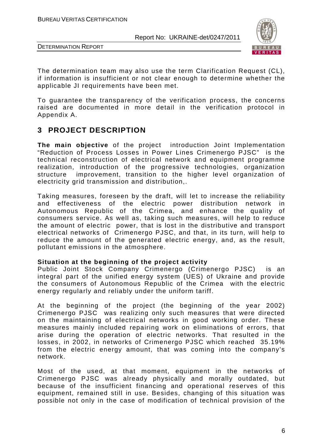



The determination team may also use the term Clarification Request (CL), if information is insufficient or not clear enough to determine whether the applicable JI requirements have been met.

To guarantee the transparency of the verification process, the concerns raised are documented in more detail in the verification protocol in Appendix A.

#### **3 PROJECT DESCRIPTION**

**The main objective** of the project introduction Joint Implementation "Reduction of Process Losses in Power Lines Crimenergo PJSC" is the technical reconstruction of electrical network and equipment programme realization, introduction of the progressive technologies, organization structure improvement, transition to the higher level organization of electricity grid transmission and distribution,.

Taking measures, foreseen by the draft, will let to increase the reliability and effectiveness of the electric power distribution network in Autonomous Republic of the Crimea, and enhance the quality of consumers service. As well as, taking such measures, will help to reduce the amount of electric power, that is lost in the distributive and transport electrical networks of Crimenergo PJSC, and that, in its turn, will help to reduce the amount of the generated electric energy, and, as the result, pollutant emissions in the atmosphere.

#### **Situation at the beginning of the project activity**

Public Joint Stock Company Crimenergo (Crimenergo PJSC) is an integral part of the unified energy system (UES) of Ukraine and provide the consumers of Autonomous Republic of the Crimea with the electric energy regularly and reliably under the uniform tariff.

At the beginning of the project (the beginning of the year 2002) Crimenergo PJSC was realizing only such measures that were directed on the maintaining of electrical networks in good working order. These measures mainly included repairing work on eliminations of errors, that arise during the operation of electric networks. That resulted in the losses, in 2002, in networks of Crimenergo PJSC which reached 35.19% from the electric energy amount, that was coming into the company's network.

Most of the used, at that moment, equipment in the networks of Crimenergo PJSC was already physically and morally outdated, but because of the insufficient financing and operational reserves of this equipment, remained still in use. Besides, changing of this situation was possible not only in the case of modification of technical provision of the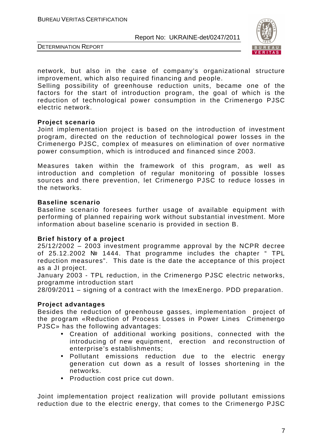

DETERMINATION REPORT

network, but also in the case of company's organizational structure improvement, which also required financing and people.

Selling possibility of greenhouse reduction units, became one of the factors for the start of introduction program, the goal of which is the reduction of technological power consumption in the Crimenergo PJSC electric network.

#### **Project scenario**

Joint implementation project is based on the introduction of investment program, directed on the reduction of technological power losses in the Crimenergo PJSC, complex of measures on elimination of over normative power consumption, which is introduced and financed since 2003.

Measures taken within the framework of this program, as well as introduction and completion of regular monitoring of possible losses sources and there prevention, let Crimenergo PJSC to reduce losses in the networks.

#### **Baseline scenario**

Baseline scenario foresees further usage of available equipment with performing of planned repairing work without substantial investment. More information about baseline scenario is provided in section B.

#### **Brief history of a project**

25/12/2002 – 2003 investment programme approval by the NCPR decree of 25.12.2002 № 1444. That programme includes the chapter " TPL reduction measures". This date is the date the acceptance of this project as a JI project.

January 2003 - TPL reduction, in the Crimenergo PJSC electric networks, programme introduction start

28/09/2011 – signing of a contract with the ImexEnergo. PDD preparation.

#### **Project advantages**

Besides the reduction of greenhouse gasses, implementation project of the program «Reduction of Process Losses in Power Lines Crimenergo PJSC» has the following advantages:

- Creation of additional working positions, connected with the introducing of new equipment, erection and reconstruction of enterprise's establishments;
- Pollutant emissions reduction due to the electric energy generation cut down as a result of losses shortening in the networks.
- Production cost price cut down.

Joint implementation project realization will provide pollutant emissions reduction due to the electric energy, that comes to the Crimenergo PJSC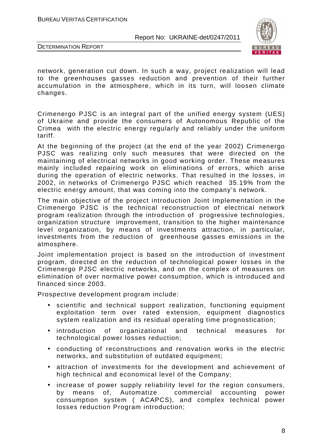

DETERMINATION REPORT

network, generation cut down. In such a way, project realization will lead to the greenhouses gasses reduction and prevention of their further accumulation in the atmosphere, which in its turn, will loosen climate changes.

Crimenergo PJSC is an integral part of the unified energy system (UES) of Ukraine and provide the consumers of Autonomous Republic of the Crimea with the electric energy regularly and reliably under the uniform tariff.

At the beginning of the project (at the end of the year 2002) Crimenergo PJSC was realizing only such measures that were directed on the maintaining of electrical networks in good working order. These measures mainly included repairing work on eliminations of errors, which arise during the operation of electric networks. That resulted in the losses, in 2002, in networks of Crimenergo PJSC which reached 35.19% from the electric energy amount, that was coming into the company's network.

The main objective of the project introduction Joint Implementation in the Crimenergo PJSC is the technical reconstruction of electrical network program realization through the introduction of progressive technologies, organization structure improvement, transition to the higher maintenance level organization, by means of investments attraction, in particular, investments from the reduction of greenhouse gasses emissions in the atmosphere.

Joint implementation project is based on the introduction of investment program, directed on the reduction of technological power losses in the Crimenergo PJSC electric networks, and on the complex of measures on elimination of over normative power consumption, which is introduced and financed since 2003.

Prospective development program include:

- scientific and technical support realization, functioning equipment exploitation term over rated extension, equipment diagnostics system realization and its residual operating time prognostication;
- introduction of organizational and technical measures for technological power losses reduction;
- conducting of reconstructions and renovation works in the electric networks, and substitution of outdated equipment;
- attraction of investments for the development and achievement of high technical and economical level of the Company;
- increase of power supply reliability level for the region consumers, by means of, Automatize commercial accounting power consumption system ( ACAPCS), and complex technical power losses reduction Program introduction;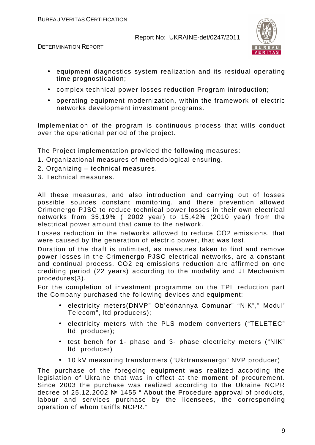

DETERMINATION REPORT

- equipment diagnostics system realization and its residual operating time prognostication;
- complex technical power losses reduction Program introduction;
- operating equipment modernization, within the framework of electric networks development investment programs.

Implementation of the program is continuous process that wills conduct over the operational period of the project.

The Project implementation provided the following measures:

- 1. Organizational measures of methodological ensuring.
- 2. Organizing technical measures.
- 3. Technical measures.

All these measures, and also introduction and carrying out of losses possible sources constant monitoring, and there prevention allowed Crimenergo PJSC to reduce technical power losses in their own electrical networks from 35,19% ( 2002 year) to 15,42% (2010 year) from the electrical power amount that came to the network.

Losses reduction in the networks allowed to reduce СО2 emissions, that were caused by the generation of electric power, that was lost.

Duration of the draft is unlimited, as measures taken to find and remove power losses in the Crimenergo PJSC electrical networks, are a constant and continual process. CO2 eq emissions reduction are affirmed on one crediting period (22 years) according to the modality and JI Mechanism procedures(3).

For the completion of investment programme on the TPL reduction part the Company purchased the following devices and equipment:

- electricity meters(DNVP" Ob'ednannya Comunar" "NIK"," Modul' Telecom", ltd producers);
- electricity meters with the PLS modem converters ("TELETEC" ltd. producer);
- test bench for 1- phase and 3- phase electricity meters ("NIK" ltd. producer)
- 10 kV measuring transformers ("Ukrtransenergo" NVP producer)

The purchase of the foregoing equipment was realized according the legislation of Ukraine that was in effect at the moment of procurement. Since 2003 the purchase was realized according to the Ukraine NCPR decree of 25.12.2002 № 1455 " About the Procedure approval of products, labour and services purchase by the licensees, the corresponding operation of whom tariffs NCPR."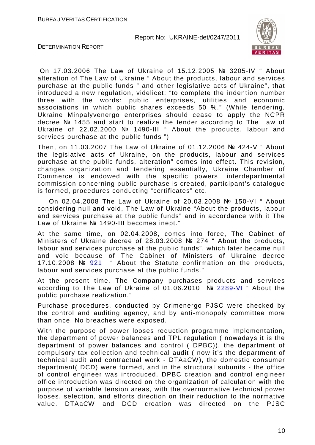

DETERMINATION REPORT

 On 17.03.2006 The Law of Ukraine of 15.12.2005 № 3205-IV " About alteration of The Law of Ukraine " About the products, labour and services purchase at the public funds " and other legislative acts of Ukraine", that introduced a new regulation, videlicet: "to complete the indention number three with the words: public enterprises, utilities and economic associations in which public shares exceeds 50 %." (While tendering, Ukraine Minpalyvenergo enterprises should cease to apply the NCPR decree № 1455 and start to realize the tender according to The Law of Ukraine of 22.02.2000 № 1490-III " About the products, labour and services purchase at the public funds ")

Then, on 11.03.2007 The Law of Ukraine of 01.12.2006 № 424-V " About the legislative acts of Ukraine, on the products, labour and services purchase at the public funds, alteration" comes into effect. This revision, changes organization and tendering essentially, Ukraine Chamber of Commerce is endowed with the specific powers, interdepartmental commission concerning public purchase is created, participant's catalogue is formed, procedures conducting "certificates" etc.

 On 02.04.2008 The Law of Ukraine of 20.03.2008 № 150-VI " About considering null and void, The Law of Ukraine "About the products, labour and services purchase at the public funds" and in accordance with it The Law of Ukraine № 1490-III becomes inept."

At the same time, on 02.04.2008, comes into force, The Cabinet of Ministers of Ukraine decree of 28.03.2008 № 274 " About the products, labour and services purchase at the public funds", which later became null and void because of The Cabinet of Ministers of Ukraine decree 17.10.2008 № 921 " About the Statute confirmation on the products, labour and services purchase at the public funds."

At the present time, The Company purchases products and services according to The Law of Ukraine of 01.06.2010 № 2289-VI " About the public purchase realization."

Purchase procedures, conducted by Crimenergo PJSC were checked by the control and auditing agency, and by anti-monopoly committee more than once. No breaches were exposed.

With the purpose of power looses reduction programme implementation, the department of power balances and TPL regulation ( nowadays it is the department of power balances and control ( DPBC)), the department of compulsory tax collection and technical audit ( now it's the department of technical audit and contractual work - DTAaCW), the domestic consumer department( DCD) were formed, and in the structural subunits - the office of control engineer was introduced. DPBC creation and control engineer office introduction was directed on the organization of calculation with the purpose of variable tension areas, with the overnormative technical power looses, selection, and efforts direction on their reduction to the normative value. DTAaCW and DCD creation was directed on the PJSC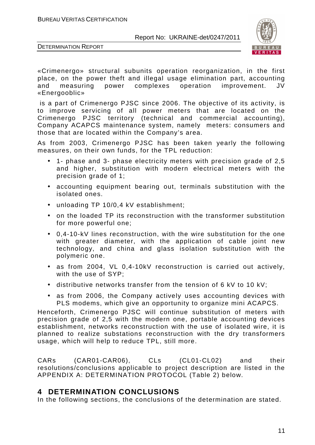

DETERMINATION REPORT

«Crimenergo» structural subunits operation reorganization, in the first place, on the power theft and illegal usage elimination part, accounting and measuring power complexes operation improvement. JV «Energooblic»

 is a part of Crimenergo PJSC since 2006. The objective of its activity, is to improve servicing of all power meters that are located on the Crimenergo PJSC territory (technical and commercial accounting), Company ACAPCS maintenance system, namely meters: consumers and those that are located within the Company's area.

As from 2003, Crimenergo PJSC has been taken yearly the following measures, on their own funds, for the TPL reduction:

- 1- phase and 3- phase electricity meters with precision grade of 2,5 and higher, substitution with modern electrical meters with the precision grade of 1;
- accounting equipment bearing out, terminals substitution with the isolated ones.
- unloading TP 10/0,4 kV establishment;
- on the loaded TP its reconstruction with the transformer substitution for more powerful one;
- 0,4-10-kV lines reconstruction, with the wire substitution for the one with greater diameter, with the application of cable joint new technology, and china and glass isolation substitution with the polymeric one.
- as from 2004, VL 0,4-10kV reconstruction is carried out actively, with the use of SYP;
- distributive networks transfer from the tension of 6 kV to 10 kV;
- as from 2006, the Company actively uses accounting devices with PLS modems, which give an opportunity to organize mini ACAPCS.

Henceforth, Crimenergo PJSC will continue substitution of meters with precision grade of 2,5 with the modern one, portable accounting devices establishment, networks reconstruction with the use of isolated wire, it is planned to realize substations reconstruction with the dry transformers usage, which will help to reduce TPL, still more.

CARs (CAR01-CAR06), CLs (CL01-CL02) and their resolutions/conclusions applicable to project description are listed in the APPENDIX A: DETERMINATION PROTOCOL (Table 2) below.

#### **4 DETERMINATION CONCLUSIONS**

In the following sections, the conclusions of the determination are stated.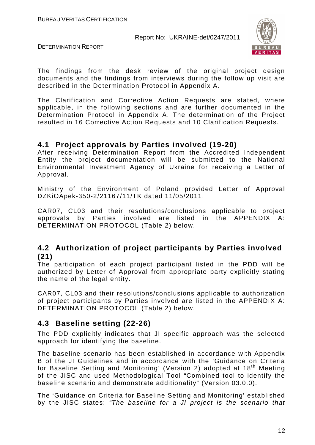



The findings from the desk review of the original project design documents and the findings from interviews during the follow up visit are described in the Determination Protocol in Appendix A.

The Clarification and Corrective Action Requests are stated, where applicable, in the following sections and are further documented in the Determination Protocol in Appendix A. The determination of the Project resulted in 16 Corrective Action Requests and 10 Clarification Requests.

#### **4.1 Project approvals by Parties involved (19-20)**

After receiving Determination Report from the Accredited Independent Entity the project documentation will be submitted to the National Environmental Investment Agency of Ukraine for receiving a Letter of Approval.

Ministry of the Environment of Poland provided Letter of Approval DZKiOApek-350-2/21167/11/TK dated 11/05/2011.

CAR07, CL03 and their resolutions/conclusions applicable to project approvals by Parties involved are listed in the APPENDIX A: DETERMINATION PROTOCOL (Table 2) below.

#### **4.2 Authorization of project participants by Parties involved (21)**

The participation of each project participant listed in the PDD will be authorized by Letter of Approval from appropriate party explicitly stating the name of the legal entity.

CAR07, CL03 and their resolutions/conclusions applicable to authorization of project participants by Parties involved are listed in the APPENDIX A: DETERMINATION PROTOCOL (Table 2) below.

#### **4.3 Baseline setting (22-26)**

The PDD explicitly indicates that JI specific approach was the selected approach for identifying the baseline.

The baseline scenario has been established in accordance with Appendix B of the JI Guidelines and in accordance with the 'Guidance on Criteria for Baseline Setting and Monitoring' (Version 2) adopted at 18<sup>th</sup> Meeting of the JISC and used Methodological Tool "Combined tool to identify the baseline scenario and demonstrate additionality" (Version 03.0.0).

The 'Guidance on Criteria for Baseline Setting and Monitoring' established by the JISC states: "The baseline for a JI project is the scenario that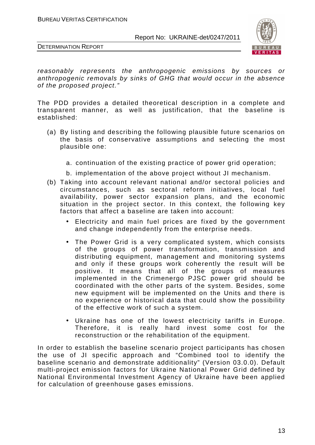



reasonably represents the anthropogenic emissions by sources or anthropogenic removals by sinks of GHG that would occur in the absence of the proposed project."

The PDD provides a detailed theoretical description in a complete and transparent manner, as well as justification, that the baseline is established:

- (a) By listing and describing the following plausible future scenarios on the basis of conservative assumptions and selecting the most plausible one:
	- a. continuation of the existing practice of power grid operation;
	- b. implementation of the above project without JI mechanism.
- (b) Taking into account relevant national and/or sectoral policies and circumstances, such as sectoral reform initiatives, local fuel availability, power sector expansion plans, and the economic situation in the project sector. In this context, the following key factors that affect a baseline are taken into account:
	- Electricity and main fuel prices are fixed by the government and change independently from the enterprise needs.
	- The Power Grid is a very complicated system, which consists of the groups of power transformation, transmission and distributing equipment, management and monitoring systems and only if these groups work coherently the result will be positive. It means that all of the groups of measures implemented in the Crimenergo PJSC power grid should be coordinated with the other parts of the system. Besides, some new equipment will be implemented on the Units and there is no experience or historical data that could show the possibility of the effective work of such a system.
	- Ukraine has one of the lowest electricity tariffs in Europe. Therefore, it is really hard invest some cost for the reconstruction or the rehabilitation of the equipment.

In order to establish the baseline scenario project participants has chosen the use of JI specific approach and "Combined tool to identify the baseline scenario and demonstrate additionality" (Version 03.0.0). Default multi-project emission factors for Ukraine National Power Grid defined by National Environmental Investment Agency of Ukraine have been applied for calculation of greenhouse gases emissions.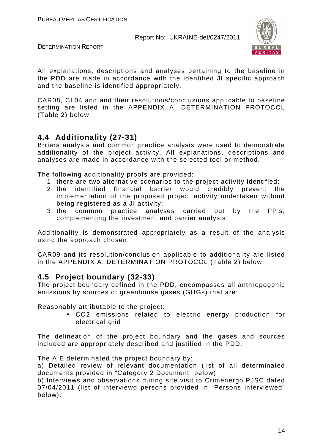



All explanations, descriptions and analyses pertaining to the baseline in the PDD are made in accordance with the identified JI specific approach and the baseline is identified appropriately.

CAR08, CL04 and and their resolutions/conclusions applicable to baseline setting are listed in the APPENDIX A: DETERMINATION PROTOCOL (Table 2) below.

## **4.4 Additionality (27-31)**

Brriers analysis and common practice analysis were used to demonstrate additionality of the project activity. All explanations, descriptions and analyses are made in accordance with the selected tool or method.

The following additionality proofs are provided:

- 1. there are two alternative scenarios to the project activity identified;
- 2. the identified financial barrier would credibly prevent the implementation of the proposed project activity undertaken without being registered as a JI activity;
- 3. the common practice analyses carried out by the PP's, complementing the investment and barrier analysis

Additionality is demonstrated appropriately as a result of the analysis using the approach chosen.

CAR09 and its resolution/conclusion applicable to additionality are listed in the APPENDIX A: DETERMINATION PROTOCOL (Table 2) below.

#### **4.5 Project boundary (32-33)**

The project boundary defined in the PDD, encompasses all anthropogenic emissions by sources of greenhouse gases (GHGs) that are:

Reasonably attributable to the project:

• СО2 emissions related to electric energy production for electrical grid

The delineation of the project boundary and the gases and sources included are appropriately described and justified in the PDD.

The AIE determinated the project boundary by:

a) Detailed review of relevant documentation (list of all determinated documents provided in "Category 2 Document" below).

b) Interviews and observations during site visit to Crimenergo PJSC dated 07/04/2011 (list of interviewd persons provided in "Persons interviewed" below).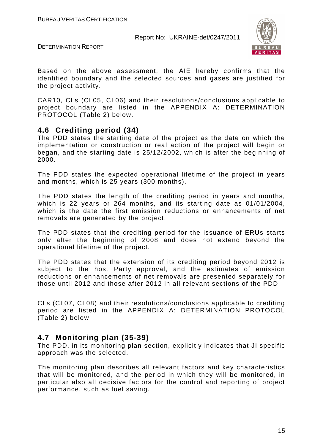



Based on the above assessment, the AIE hereby confirms that the identified boundary and the selected sources and gases are justified for the project activity.

CAR10, CLs (CL05, CL06) and their resolutions/conclusions applicable to project boundary are listed in the APPENDIX A: DETERMINATION PROTOCOL (Table 2) below.

#### **4.6 Crediting period (34)**

The PDD states the starting date of the project as the date on which the implementation or construction or real action of the project will begin or began, and the starting date is 25/12/2002, which is after the beginning of 2000.

The PDD states the expected operational lifetime of the project in years and months, which is 25 years (300 months).

The PDD states the length of the crediting period in years and months, which is 22 years or 264 months, and its starting date as 01/01/2004, which is the date the first emission reductions or enhancements of net removals are generated by the project.

The PDD states that the crediting period for the issuance of ERUs starts only after the beginning of 2008 and does not extend beyond the operational lifetime of the project.

The PDD states that the extension of its crediting period beyond 2012 is subject to the host Party approval, and the estimates of emission reductions or enhancements of net removals are presented separately for those until 2012 and those after 2012 in all relevant sections of the PDD.

CLs (CL07, CL08) and their resolutions/conclusions applicable to crediting period are listed in the APPENDIX A: DETERMINATION PROTOCOL (Table 2) below.

#### **4.7 Monitoring plan (35-39)**

The PDD, in its monitoring plan section, explicitly indicates that JI specific approach was the selected.

The monitoring plan describes all relevant factors and key characteristics that will be monitored, and the period in which they will be monitored, in particular also all decisive factors for the control and reporting of project performance, such as fuel saving.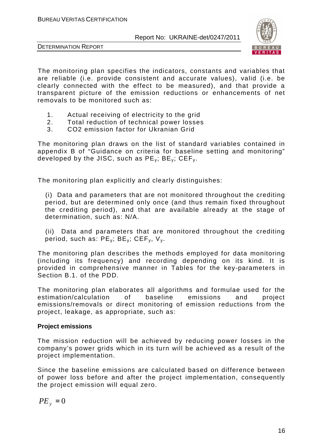



The monitoring plan specifies the indicators, constants and variables that are reliable (i.e. provide consistent and accurate values), valid (i.e. be clearly connected with the effect to be measured), and that provide a transparent picture of the emission reductions or enhancements of net removals to be monitored such as:

- 1. Actual receiving of electricity to the grid
- 2. Total reduction of technical power losses
- 3. CO2 emission factor for Ukranian Grid

The monitoring plan draws on the list of standard variables contained in appendix B of "Guidance on criteria for baseline setting and monitoring" developed by the JISC, such as  $PE_v$ ;  $BE_v$ ;  $CEF_v$ .

The monitoring plan explicitly and clearly distinguishes:

(i) Data and parameters that are not monitored throughout the crediting period, but are determined only once (and thus remain fixed throughout the crediting period), and that are available already at the stage of determination, such as: N/A.

(ii) Data and parameters that are monitored throughout the crediting period, such as:  $PE_v$ ;  $BE_v$ ;  $CEF_v$ ,  $V_v$ .

The monitoring plan describes the methods employed for data monitoring (including its frequency) and recording depending on its kind. It is provided in comprehensive manner in Tables for the key-parameters in Section B.1. of the PDD.

The monitoring plan elaborates all algorithms and formulae used for the estimation/calculation of baseline emissions and project emissions/removals or direct monitoring of emission reductions from the project, leakage, as appropriate, such as:

#### **Project emissions**

The mission reduction will be achieved by reducing power losses in the company's power grids which in its turn will be achieved as a result of the project implementation.

Since the baseline emissions are calculated based on difference between of power loss before and after the project implementation, consequently the project emission will equal zero.

$$
PE_{y} = 0
$$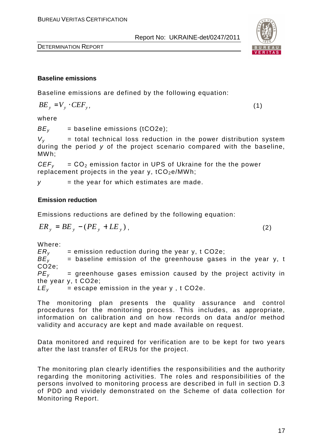#### **Baseline emissions**

Baseline emissions are defined by the following equation:

$$
BE_y = V_y \cdot CEF_y, \tag{1}
$$

where

 $BE<sub>v</sub>$  = baseline emissions (tCO2e);

 $V_v$  = total technical loss reduction in the power distribution system during the period y of the project scenario compared with the baseline, MWh;

 $CEF<sub>v</sub> = CO<sub>2</sub>$  emission factor in UPS of Ukraine for the the power replacement projects in the year y,  $tCO<sub>2</sub>e/MWh$ ;

 $v =$  the year for which estimates are made.

#### **Emission reduction**

Emissions reductions are defined by the following equation:

$$
ER_y = BE_y - (PE_y + LE_y), \qquad (2)
$$

Where:

 $ER_y$  = emission reduction during the year y, t CO2e;<br> $BE_y$  = baseline emission of the greenhouse gases  $=$  baseline emission of the greenhouse gases in the year y, t CO2e;  $PE<sub>v</sub>$  = greenhouse gases emission caused by the project activity in the year y, t CO2e;  $LE<sub>v</sub>$  = escape emission in the year y, t CO2e.

The monitoring plan presents the quality assurance and control procedures for the monitoring process. This includes, as appropriate, information on calibration and on how records on data and/or method validity and accuracy are kept and made available on request.

Data monitored and required for verification are to be kept for two years after the last transfer of ERUs for the project.

The monitoring plan clearly identifies the responsibilities and the authority regarding the monitoring activities. The roles and responsibilities of the persons involved to monitoring process are described in full in section D.3 of PDD and vividely demonstrated on the Scheme of data collection for Monitoring Report.

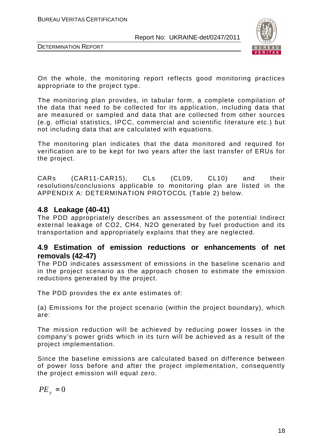



On the whole, the monitoring report reflects good monitoring practices appropriate to the project type.

The monitoring plan provides, in tabular form, a complete compilation of the data that need to be collected for its application, including data that are measured or sampled and data that are collected from other sources (e.g. official statistics, IPCC, commercial and scientific literature etc.) but not including data that are calculated with equations.

The monitoring plan indicates that the data monitored and required for verification are to be kept for two years after the last transfer of ERUs for the project.

CARs (CAR11-CAR15), CLs (CL09, CL10) and their resolutions/conclusions applicable to monitoring plan are listed in the APPENDIX A: DETERMINATION PROTOCOL (Table 2) below.

#### **4.8 Leakage (40-41)**

The PDD appropriately describes an assessment of the potential Indirect external leakage of CO2, СН4, N2O generated by fuel production and its transportation and appropriately explains that they are neglected.

#### **4.9 Estimation of emission reductions or enhancements of net removals (42-47)**

The PDD indicates assessment of emissions in the baseline scenario and in the project scenario as the approach chosen to estimate the emission reductions generated by the project.

The PDD provides the ex ante estimates of:

(a) Emissions for the project scenario (within the project boundary), which are:

The mission reduction will be achieved by reducing power losses in the company's power grids which in its turn will be achieved as a result of the project implementation.

Since the baseline emissions are calculated based on difference between of power loss before and after the project implementation, consequently the project emission will equal zero.

$$
PE_{y} = 0
$$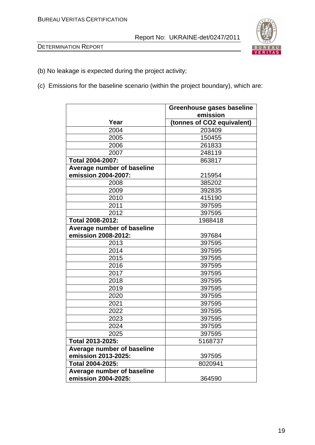

- (b) No leakage is expected during the project activity;
- (c) Emissions for the baseline scenario (within the project boundary), which are:

|                            | Greenhouse gases baseline  |
|----------------------------|----------------------------|
|                            | emission                   |
| Year                       | (tonnes of CO2 equivalent) |
| 2004                       | 203409                     |
| 2005                       | 150455                     |
| 2006                       | 261833                     |
| 2007                       | 248119                     |
| <b>Total 2004-2007:</b>    | 863817                     |
| Average number of baseline |                            |
| emission 2004-2007:        | 215954                     |
| 2008                       | 385202                     |
| 2009                       | 392835                     |
| 2010                       | 415190                     |
| 2011                       | 397595                     |
| 2012                       | 397595                     |
| Total 2008-2012:           | 1988418                    |
| Average number of baseline |                            |
| emission 2008-2012:        | 397684                     |
| 2013                       | 397595                     |
| 2014                       | 397595                     |
| 2015                       | 397595                     |
| 2016                       | 397595                     |
| 2017                       | 397595                     |
| 2018                       | 397595                     |
| 2019                       | 397595                     |
| 2020                       | 397595                     |
| 2021                       | 397595                     |
| 2022                       | 397595                     |
| 2023                       | 397595                     |
| 2024                       | 397595                     |
| 2025                       | 397595                     |
| Total 2013-2025:           | 5168737                    |
| Average number of baseline |                            |
| emission 2013-2025:        | 397595                     |
| Total 2004-2025:           | 8020941                    |
| Average number of baseline |                            |
| emission 2004-2025:        | 364590                     |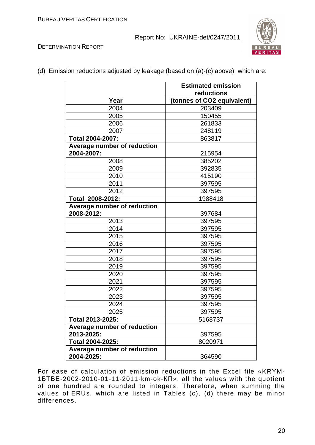



#### (d) Emission reductions adjusted by leakage (based on (a)-(c) above), which are:

|                             | <b>Estimated emission</b>  |
|-----------------------------|----------------------------|
|                             | reductions                 |
| Year                        | (tonnes of CO2 equivalent) |
| 2004                        | 203409                     |
| 2005                        | 150455                     |
| 2006                        | 261833                     |
| 2007                        | 248119                     |
| Total 2004-2007:            | 863817                     |
| Average number of reduction |                            |
| 2004-2007:                  | 215954                     |
| 2008                        | 385202                     |
| 2009                        | 392835                     |
| 2010                        | 415190                     |
| 2011                        | 397595                     |
| 2012                        | 397595                     |
| Total 2008-2012:            | 1988418                    |
| Average number of reduction |                            |
| 2008-2012:                  | 397684                     |
| 2013                        | 397595                     |
| 2014                        | 397595                     |
| 2015                        | 397595                     |
| 2016                        | 397595                     |
| 2017                        | 397595                     |
| 2018                        | 397595                     |
| 2019                        | 397595                     |
| 2020                        | 397595                     |
| 2021                        | 397595                     |
| 2022                        | 397595                     |
| 2023                        | 397595                     |
| 2024                        | 397595                     |
| 2025                        | 397595                     |
| Total 2013-2025:            | 5168737                    |
| Average number of reduction |                            |
| 2013-2025:                  | 397595                     |
| Total 2004-2025:            | 8020971                    |
| Average number of reduction |                            |
| 2004-2025:                  | 364590                     |

For ease of calculation of emission reductions in the Excel file «KRYM-1БТВЕ-2002-2010-01-11-2011-km-ok-КП», all the values with the quotient of one hundred are rounded to integers. Therefore, when summing the values of ERUs, which are listed in Tables (c), (d) there may be minor differences.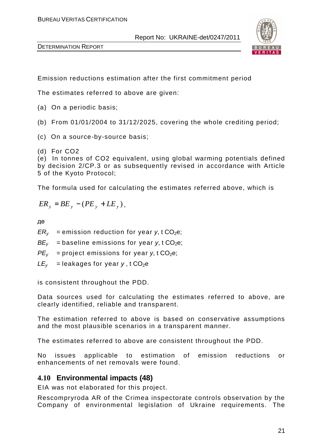



Emission reductions estimation after the first commitment period

The estimates referred to above are given:

- (a) On a periodic basis;
- (b) From 01/01/2004 to 31/12/2025, covering the whole crediting period;
- (c) On a source-by-source basis;
- (d) For CO2

(e) In tonnes of CO2 equivalent, using global warming potentials defined by decision 2/CP.3 or as subsequently revised in accordance with Article 5 of the Kyoto Protocol;

The formula used for calculating the estimates referred above, which is

$$
ER_{y} = BE_{y} - (PE_{y} + LE_{y}),
$$

де

 $ER<sub>v</sub>$  = emission reduction for year y, t CO<sub>2</sub>e;

 $BE<sub>v</sub>$  = baseline emissions for year y, t CO<sub>2</sub>e;

- $PE<sub>v</sub>$  = project emissions for year y, t CO<sub>2</sub>e;
- $LE<sub>v</sub>$  = leakages for year y, t CO<sub>2</sub>e

is consistent throughout the PDD.

Data sources used for calculating the estimates referred to above, are clearly identified, reliable and transparent.

The estimation referred to above is based on conservative assumptions and the most plausible scenarios in a transparent manner.

The estimates referred to above are consistent throughout the PDD.

No issues applicable to estimation of emission reductions or enhancements of net removals were found.

#### **4.10 Environmental impacts (48)**

EIA was not elaborated for this project.

Rescompryroda AR of the Crimea inspectorate controls observation by the Company of environmental legislation of Ukraine requirements. The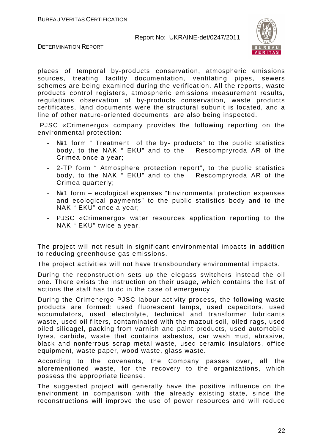



places of temporal by-products conservation, atmospheric emissions sources, treating facility documentation, ventilating pipes, sewers schemes are being examined during the verification. All the reports, waste products control registers, atmospheric emissions measurement results, regulations observation of by-products conservation, waste products certificates, land documents were the structural subunit is located, and a line of other nature-oriented documents, are also being inspected.

 PJSC «Crimenergo» company provides the following reporting on the environmental protection:

- Notherm " Treatment of the by- products" to the public statistics body, to the NAK " EKU" and to the Rescompryroda AR of the Crimea once a year;
- 2-TP form " Atmosphere protection report", to the public statistics body, to the NAK " EKU" and to the Rescompryroda AR of the Crimea quarterly;
- №1 form ecological expenses "Environmental protection expenses and ecological payments" to the public statistics body and to the NAK " EKU" once a year;
- PJSC «Crimenergo» water resources application reporting to the NAK " EKU" twice a year.

The project will not result in significant environmental impacts in addition to reducing greenhouse gas emissions.

The project activities will not have transboundary environmental impacts.

During the reconstruction sets up the elegass switchers instead the oil one. There exists the instruction on their usage, which contains the list of actions the staff has to do in the case of emergency.

During the Crimenergo PJSC labour activity process, the following waste products are formed: used fluorescent lamps, used capacitors, used accumulators, used electrolyte, technical and transformer lubricants waste, used oil filters, contaminated with the mazout soil, oiled rags, used oiled silicagel, packing from varnish and paint products, used automobile tyres, carbide, waste that contains asbestos, car wash mud, abrasive, black and nonferrous scrap metal waste, used ceramic insulators, office equipment, waste paper, wood waste, glass waste.

According to the covenants, the Company passes over, all the aforementioned waste, for the recovery to the organizations, which possess the appropriate license.

The suggested project will generally have the positive influence on the environment in comparison with the already existing state, since the reconstructions will improve the use of power resources and will reduce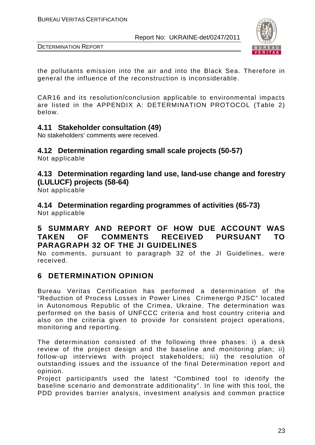

DETERMINATION REPORT

the pollutants emission into the air and into the Black Sea. Therefore in general the influence of the reconstruction is inconsiderable.

CAR16 and its resolution/conclusion applicable to environmental impacts are listed in the APPENDIX A: DETERMINATION PROTOCOL (Table 2) below.

#### **4.11 Stakeholder consultation (49)**

No stakeholders' comments were received.

#### **4.12 Determination regarding small scale projects (50-57)**

Not applicable

**4.13 Determination regarding land use, land-use change and forestry (LULUCF) projects (58-64)** 

Not applicable

**4.14 Determination regarding programmes of activities (65-73)**  Not applicable

#### **5 SUMMARY AND REPORT OF HOW DUE ACCOUNT WAS TAKEN OF COMMENTS RECEIVED PURSUANT TO PARAGRAPH 32 OF THE JI GUIDELINES**

No comments, pursuant to paragraph 32 of the JI Guidelines, were received.

## **6 DETERMINATION OPINION**

Bureau Veritas Certification has performed a determination of the "Reduction of Process Losses in Power Lines Crimenergo PJSC" located in Autonomous Republic of the Crimea, Ukraine. The determination was performed on the basis of UNFCCC criteria and host country criteria and also on the criteria given to provide for consistent project operations, monitoring and reporting.

The determination consisted of the following three phases: i) a desk review of the project design and the baseline and monitoring plan; ii) follow-up interviews with project stakeholders; iii) the resolution of outstanding issues and the issuance of the final Determination report and opinion.

Project participant/s used the latest "Combined tool to identify the baseline scenario and demonstrate additionality". In line with this tool, the PDD provides barrier analysis, investment analysis and common practice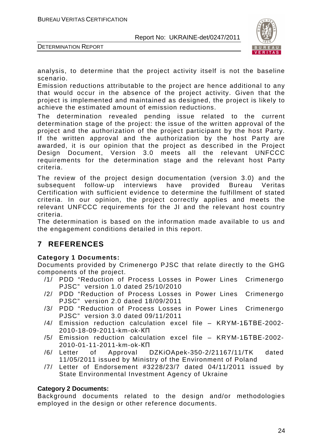

DETERMINATION REPORT

analysis, to determine that the project activity itself is not the baseline scenario.

Emission reductions attributable to the project are hence additional to any that would occur in the absence of the project activity. Given that the project is implemented and maintained as designed, the project is likely to achieve the estimated amount of emission reductions.

The determination revealed pending issue related to the current determination stage of the project: the issue of the written approval of the project and the authorization of the project participant by the host Party. If the written approval and the authorization by the host Party are awarded, it is our opinion that the project as described in the Project Design Document, Version 3.0 meets all the relevant UNFCCC requirements for the determination stage and the relevant host Party criteria.

The review of the project design documentation (version 3.0) and the subsequent follow-up interviews have provided Bureau Veritas Certification with sufficient evidence to determine the fulfillment of stated criteria. In our opinion, the project correctly applies and meets the relevant UNFCCC requirements for the JI and the relevant host country criteria.

The determination is based on the information made available to us and the engagement conditions detailed in this report.

## **7 REFERENCES**

#### **Category 1 Documents:**

Documents provided by Crimenergo PJSC that relate directly to the GHG components of the project.

- /1/ PDD "Reduction of Process Losses in Power Lines Crimenergo PJSC" version 1.0 dated 25/10/2010
- /2/ PDD "Reduction of Process Losses in Power Lines Crimenergo PJSC" version 2.0 dated 18/09/2011
- /3/ PDD "Reduction of Process Losses in Power Lines Crimenergo PJSC" version 3.0 dated 09/11/2011
- /4/ Emission reduction calculation excel file KRYM-1БТВЕ-2002- 2010-18-09-2011-km-ok-КП
- /5/ Emission reduction calculation excel file KRYM-1БТВЕ-2002- 2010-01-11-2011-km-ok-КП
- /6/ Letter of Approval DZKiOApek-350-2/21167/11/TK dated 11/05/2011 issued by Ministry of the Environment of Poland
- /7/ Letter of Endorsement #3228/23/7 dated 04/11/2011 issued by State Environmental Investment Agency of Ukraine

#### **Category 2 Documents:**

Background documents related to the design and/or methodologies employed in the design or other reference documents.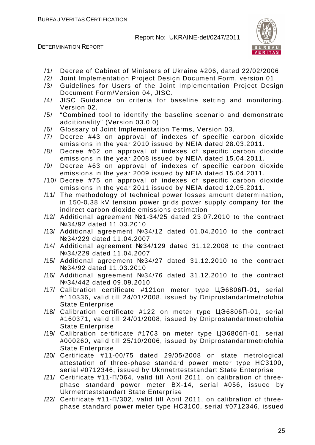



- /1/ Decree of Cabinet of Ministers of Ukraine #206, dated 22/02/2006
- /2/ Joint Implementation Project Design Document Form, version 01
- /3/ Guidelines for Users of the Joint Implementation Project Design Document Form/Version 04, JISC.
- /4/ JISC Guidance on criteria for baseline setting and monitoring. Version 02.
- /5/ "Combined tool to identify the baseline scenario and demonstrate additionality" (Version 03.0.0)
- /6/ Glossary of Joint Implementation Terms, Version 03.
- /7/ Decree #43 on approval of indexes of specific carbon dioxide emissions in the year 2010 issued by NEIA dated 28.03.2011.
- /8/ Decree #62 on approval of indexes of specific carbon dioxide emissions in the year 2008 issued by NEIA dated 15.04.2011.
- /9/ Decree #63 on approval of indexes of specific carbon dioxide emissions in the year 2009 issued by NEIA dated 15.04.2011.
- /10/ Decree #75 on approval of indexes of specific carbon dioxide emissions in the year 2011 issued by NEIA dated 12.05.2011.
- /11/ The methodology of technical power losses amount determination, in 150-0,38 kV tension power grids power supply company for the indirect carbon dioxide emissions estimation
- /12/ Additional agreement №1-34/25 dated 23.07.2010 to the contract №34/92 dated 11.03.2010
- /13/ Additional agreement №34/12 dated 01.04.2010 to the contract №34/229 dated 11.04.2007
- /14/ Additional agreement №34/129 dated 31.12.2008 to the contract №34/229 dated 11.04.2007
- /15/ Additional agreement №34/27 dated 31.12.2010 to the contract №34/92 dated 11.03.2010
- /16/ Additional agreement №34/76 dated 31.12.2010 to the contract №34/442 dated 09.09.2010
- /17/ Calibration certificate #121on meter type ЦЭ6806П-01, serial #110336, valid till 24/01/2008, issued by Dniprostandartmetrolohia State Enterprise
- /18/ Calibration certificate #122 on meter type ЦЭ6806П-01, serial #160371, valid till 24/01/2008, issued by Dniprostandartmetrolohia State Enterprise
- /19/ Calibration certificate #1703 on meter type ЦЭ6806П-01, serial #000260, valid till 25/10/2006, issued by Dniprostandartmetrolohia State Enterprise
- /20/ Certificate #11-00/75 dated 29/05/2008 on state metrological attestation of three-phase standard power meter type HC3100, serial #0712346, issued by Ukrmetrteststandart State Enterprise
- /21/ Certificate #11-П/064, valid till April 2011, on calibration of threephase standard power meter BX-14, serial #056, issued by Ukrmetrteststandart State Enterprise
- /22/ Certificate #11-П/302, valid till April 2011, on calibration of threephase standard power meter type HC3100, serial #0712346, issued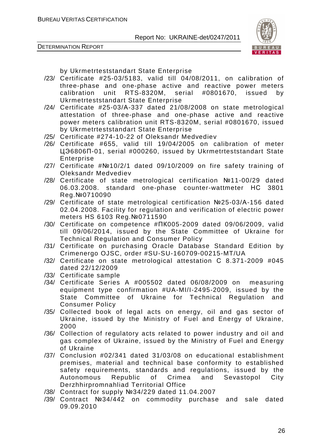



by Ukrmetrteststandart State Enterprise

- /23/ Certificate #25-03/5183, valid till 04/08/2011, on calibration of three-phase and one-phase active and reactive power meters calibration unit RTS-8320M, serial #0801670, issued by Ukrmetrteststandart State Enterprise
- /24/ Certificate #25-03/А-337 dated 21/08/2008 on state metrological attestation of three-phase and one-phase active and reactive power meters calibration unit RTS-8320M, serial #0801670, issued by Ukrmetrteststandart State Enterprise
- /25/ Certificate #274-10-22 of Oleksandr Medvediev
- /26/ Certificate #655, valid till 19/04/2005 on calibration of meter ЦЭ6806П-01, serial #000260, issued by Ukrmetrteststandart State Enterprise
- /27/ Certificate #№10/2/1 dated 09/10/2009 on fire safety training of Oleksandr Medvediev
- /28/ Certificate of state metrological certification №11-00/29 dated 06.03.2008. standard one-phase counter-wattmeter НС 3801 Reg.№0710090
- /29/ Certificate of state metrological certification №25-03/А-156 dated 02.04.2008. Facility for regulation and verification of electric power meters НS 6103 Reg.№0711590
- /30/ Certificate on competence #ПК005-2009 dated 09/06/2009, valid till 09/06/2014, issued by the State Committee of Ukraine for Technical Regulation and Consumer Policy
- /31/ Certificate on purchasing Oracle Database Standard Edition by Crimenergo OJSC, order #SU-SU-160709-00215-MT/UA
- /32/ Certificate on state metrological attestation С 8.371-2009 #045 dated 22/12/2009
- /33/ Certificate sample
- /34/ Certificate Series A #005502 dated 06/08/2009 on measuring equipment type confirmation #UA-MI/I-2495-2009, issued by the State Committee of Ukraine for Technical Regulation and Consumer Policy
- /35/ Collected book of legal acts on energy, oil and gas sector of Ukraine, issued by the Ministry of Fuel and Energy of Ukraine, 2000
- /36/ Collection of regulatory acts related to power industry and oil and gas complex of Ukraine, issued by the Ministry of Fuel and Energy of Ukraine
- /37/ Conclusion #02/341 dated 31/03/08 on educational establishment premises, material and technical base conformity to established safety requirements, standards and regulations, issued by the Autonomous Republic of Crimea and Sevastopol City Derzhhirpromnahliad Territorial Office
- /38/ Contract for supply №34/229 dated 11.04.2007
- /39/ Contract №34/442 on commodity purchase and sale dated 09.09.2010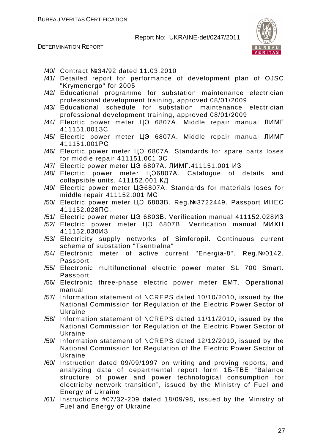

- /40/ Contract №34/92 dated 11.03.2010
- /41/ Detailed report for performance of development plan of OJSC "Krymenergo" for 2005
- /42/ Educational programme for substation maintenance electrician professional development training, approved 08/01/2009
- /43/ Educational schedule for substation maintenance electrician professional development training, approved 08/01/2009
- /44/ Elecrtic power meter ЦЭ 6807А. Middle repair manual ЛИМГ 411151.001ЗС
- /45/ Elecrtic power meter ЦЭ 6807А. Middle repair manual ЛИМГ 411151.001РС
- /46/ Elecrtic power meter ЦЭ 6807А. Standards for spare parts loses for middle repair 411151.001 ЗС
- /47/ Elecrtic power meter ЦЭ 6807А. ЛИМГ.411151.001 ИЗ
- /48/ Elecrtic power meter ЦЭ6807А. Catalogue of details and collapsible units. 411152.001 КД
- /49/ Elecrtic power meter ЦЭ6807А. Standards for materials loses for middle repair 411152.001 МС
- /50/ Electric power meter ЦЭ 6803В. Reg.№3722449. Passport ИНЕС 411152.028ПС.
- /51/ Electric power meter ЦЭ 6803В. Verification manual 411152.028ИЗ
- /52/ Electric power meter ЦЭ 6807В. Verification manual МИХН 411152.030ИЗ
- /53/ Electricity supply networks of Simferopil. Continuous current scheme of substation "Tsentralna"
- /54/ Electronic meter of active current "Energia-8". Reg.№0142. Passport
- /55/ Electronic multifunctional electric power meter SL 700 Smart. Passport
- /56/ Electronic three-phase electric power meter EMT. Operational manual
- /57/ Information statement of NCREPS dated 10/10/2010, issued by the National Commission for Regulation of the Electric Power Sector of Ukraine
- /58/ Information statement of NCREPS dated 11/11/2010, issued by the National Commission for Regulation of the Electric Power Sector of Ukraine
- /59/ Information statement of NCREPS dated 12/12/2010, issued by the National Commission for Regulation of the Electric Power Sector of Ukraine
- /60/ Instruction dated 09/09/1997 on writing and proving reports, and analyzing data of departmental report form 1Б-ТВЕ "Balance structure of power and power technological consumption for electricity network transition", issued by the Ministry of Fuel and Energy of Ukraine
- /61/ Instructions #07/32-209 dated 18/09/98, issued by the Ministry of Fuel and Energy of Ukraine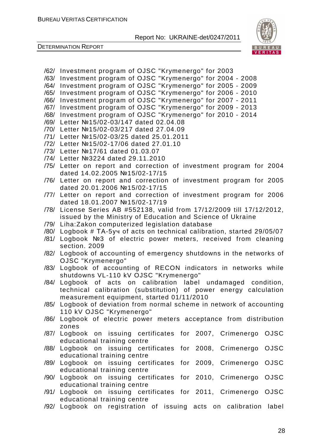



- /62/ Investment program of OJSC "Krymenergo" for 2003
- /63/ Investment program of OJSC "Krymenergo" for 2004 2008
- /64/ Investment program of OJSC "Krymenergo" for 2005 2009
- /65/ Investment program of OJSC "Krymenergo" for 2006 2010
- /66/ Investment program of OJSC "Krymenergo" for 2007 2011 /67/ Investment program of OJSC "Krymenergo" for 2009 - 2013
- 
- /68/ Investment program of OJSC "Krymenergo" for 2010 2014
- /69/ Letter №15/02-03/147 dated 02.04.08
- /70/ Letter №15/02-03/217 dated 27.04.09
- /71/ Letter №15/02-03/25 dated 25.01.2011
- /72/ Letter №15/02-17/06 dated 27.01.10
- /73/ Letter №17/61 dated 01.03.07
- /74/ Letter №3224 dated 29.11.2010
- /75/ Letter on report and correction of investment program for 2004 dated 14.02.2005 №15/02-17/15
- /76/ Letter on report and correction of investment program for 2005 dated 20.01.2006 №15/02-17/15
- /77/ Letter on report and correction of investment program for 2006 dated 18.01.2007 №15/02-17/19
- /78/ License Series AB #552138, valid from 17/12/2009 till 17/12/2012, issued by the Ministry of Education and Science of Ukraine
- /79/ Liha:Zakon computerized legislation database
- /80/ Logbook # ТА-5уч of acts on technical calibration, started 29/05/07
- /81/ Logbook №3 of electric power meters, received from cleaning section. 2009
- /82/ Logbook of accounting of emergency shutdowns in the networks of OJSC "Krymenergo"
- /83/ Logbook of accounting of RECON indicators in networks while shutdowns VL-110 kV OJSC "Krymenergo"
- /84/ Logbook of acts on calibration label undamaged condition, technical calibration (substitution) of power energy calculation measurement equipment, started 01/11/2010
- /85/ Logbook of deviation from normal scheme in network of accounting 110 kV OJSC "Krymenergo"
- /86/ Logbook of electric power meters acceptance from distribution zones
- /87/ Logbook on issuing certificates for 2007, Crimenergo OJSC educational training centre
- /88/ Logbook on issuing certificates for 2008, Crimenergo OJSC educational training centre
- /89/ Logbook on issuing certificates for 2009, Crimenergo OJSC educational training centre
- /90/ Logbook on issuing certificates for 2010, Crimenergo OJSC educational training centre
- /91/ Logbook on issuing certificates for 2011, Crimenergo OJSC educational training centre
- /92/ Logbook on registration of issuing acts on calibration label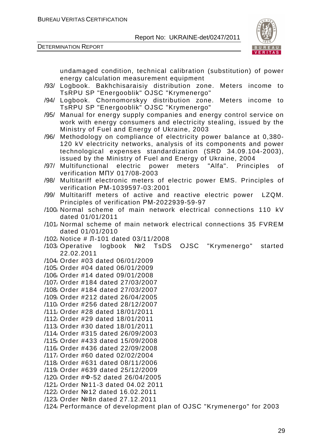



undamaged condition, technical calibration (substitution) of power energy calculation measurement equipment

- /93/ Logbook. Bakhchisaraisiy distribution zone. Meters income to TsRPU SP "Energooblik" OJSC "Krymenergo"
- /94/ Logbook. Chornomorskyy distribution zone. Meters income to TsRPU SP "Energooblik" OJSC "Krymenergo"
- /95/ Manual for energy supply companies and energy control service on work with energy consumers and electricity stealing, issued by the Ministry of Fuel and Energy of Ukraine, 2003
- /96/ Methodology on compliance of electricity power balance at 0,380- 120 kV electricity networks, analysis of its components and power technological expenses standardization (SRD 34.09.104-2003), issued by the Ministry of Fuel and Energy of Ukraine, 2004
- /97/ Multifunctional electric power meters "Alfa". Principles of verification МПУ 017/08-2003
- /98/ Multitariff electronic meters of electric power EMS. Principles of verification РМ-1039597-03:2001
- /99/ Multitariff meters of active and reactive electric power LZQM. Principles of verification РМ-2022939-59-97
- /100/ Normal scheme of main network electrical connections 110 kV dated 01/01/2011
- /101/ Normal scheme of main network electrical connections 35 FVREM dated 01/01/2010
- /102/ Notice # Л-101 dated 03/11/2008
- /103/ Operative logbook №2 TsDS OJSC "Krymenergo" started 22.02.2011
- /104/ Order #03 dated 06/01/2009
- /105/ Order #04 dated 06/01/2009
- /106/ Order #14 dated 09/01/2008
- /107/ Order #184 dated 27/03/2007
- /108/ Order #184 dated 27/03/2007
- /109/ Order #212 dated 26/04/2005
- /110/ Order #256 dated 28/12/2007
- /111/ Order #28 dated 18/01/2011
- /112/ Order #29 dated 18/01/2011
- /113/ Order #30 dated 18/01/2011
- /114/ Order #315 dated 26/09/2003
- /115/ Order #433 dated 15/09/2008
- /116/ Order #436 dated 22/09/2008
- /117/ Order #60 dated 02/02/2004
- /118/ Order #631 dated 08/11/2006
- /119/ Order #639 dated 25/12/2009
- /120/ Order #Ф-52 dated 26/04/2005
- /121/ Order №11-3 dated 04.02 2011
- /122/ Order №12 dated 16.02.2011
- /123/ Order №8п dated 27.12.2011
- /124/ Performance of development plan of OJSC "Krymenergo" for 2003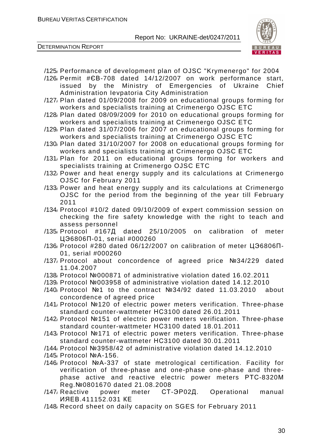

- /125/ Performance of development plan of OJSC "Krymenergo" for 2004
- /126/ Permit #ЄВ-708 dated 14/12/2007 on work performance start, issued by the Ministry of Emergencies of Ukraine Chief Administration Ievpatoria City Administration
- /127/ Plan dated 01/09/2008 for 2009 on educational groups forming for workers and specialists training at Crimenergo OJSC ETC
- /128/ Plan dated 08/09/2009 for 2010 on educational groups forming for workers and specialists training at Crimenergo OJSC ETC
- /129/ Plan dated 31/07/2006 for 2007 on educational groups forming for workers and specialists training at Crimenergo OJSC ETC
- /130/ Plan dated 31/10/2007 for 2008 on educational groups forming for workers and specialists training at Crimenergo OJSC ETC
- /131/ Plan for 2011 on educational groups forming for workers and specialists training at Crimenergo OJSC ETC
- /132/ Power and heat energy supply and its calculations at Crimenergo OJSC for February 2011
- /133/ Power and heat energy supply and its calculations at Crimenergo OJSC for the period from the beginning of the year till February 2011
- /134/ Protocol #10/2 dated 09/10/2009 of expert commission session on checking the fire safety knowledge with the right to teach and assess personnel
- /135/ Protocol #167Д dated 25/10/2005 on calibration of meter ЦЭ6806П-01, serial #000260
- /136/ Protocol #280 dated 06/12/2007 on calibration of meter ЦЭ6806П-01, serial #000260
- /137/ Protocol about concordence of agreed price №34/229 dated 11.04.2007
- /138/ Protocol №000871 of administrative violation dated 16.02.2011
- /139/ Protocol №003958 of administrative violation dated 14.12.2010
- /140/ Protocol №1 to the contract №34/92 dated 11.03.2010 about concordence of agreed price
- /141/ Protocol №120 of electric power meters verification. Three-phase standard counter-wattmeter НС3100 dated 26.01.2011
- /142/ Protocol №151 of electric power meters verification. Three-phase standard counter-wattmeter НС3100 dated 18.01.2011
- /143/ Protocol №171 of electric power meters verification. Three-phase standard counter-wattmeter НС3100 dated 30.01.2011
- /144/ Protocol №3958/42 of administrative violation dated 14.12.2010
- /145/ Protocol №А-156.
- /146/ Protocol №А-337 of state metrological certification. Facility for verification of three-phase and one-phase one-phase and threephase active and reactive electric power meters РТС-8320М Reg.№0801670 dated 21.08.2008
- /147/ Reactive power meter СТ-ЭР02Д. Operational manual ИЯЕВ.411152.031 КЕ
- /148/ Record sheet on daily capacity on SGES for February 2011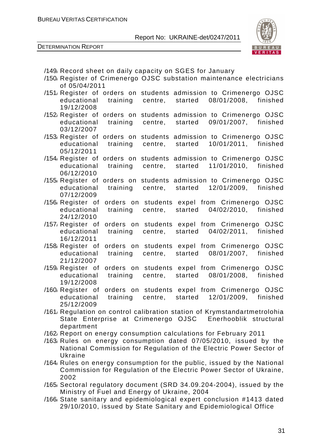

| /149, Record sheet on daily capacity on SGES for January<br>/150 Register of Crimenergo OJSC substation maintenance electricians                                                         |
|------------------------------------------------------------------------------------------------------------------------------------------------------------------------------------------|
| of 05/04/2011                                                                                                                                                                            |
| /151/ Register of orders on students admission to Crimenergo OJSC<br>08/01/2008.<br>training centre, started<br>educational<br>finished<br>19/12/2008                                    |
| /152 Register of orders on students admission to Crimenergo OJSC<br>09/01/2007, finished<br>educational<br>training<br>centre, started<br>03/12/2007                                     |
| /153 Register of orders on students admission to Crimenergo OJSC<br>10/01/2011, finished<br>training centre, started<br>educational<br>05/12/2011                                        |
| orders on students admission to Crimenergo OJSC<br>/154 <sub>/</sub> Register of<br>11/01/2010, finished<br>educational<br>training<br>centre, started<br>06/12/2010                     |
| orders on students admission to Crimenergo OJSC<br>/155 <sub>/</sub> Register of<br>12/01/2009,<br>educational<br>centre, started<br>finished<br>training<br>07/12/2009                  |
| orders on students expel from Crimenergo OJSC<br>/156 Register of<br>educational<br>centre, started<br>04/02/2010,<br>finished<br>training<br>24/12/2010                                 |
| orders on students expel from Crimenergo OJSC<br>/157 Register of<br>centre, started 04/02/2011,<br>educational<br>finished<br>training<br>16/12/2011                                    |
| orders on students expel from Crimenergo OJSC<br>/158 <sub>/</sub> Register of<br>educational<br>training<br>started<br>08/01/2007, finished<br>centre,<br>21/12/2007                    |
| orders on students expel from Crimenergo OJSC<br>/159 Register of<br>centre, started 08/01/2008, finished<br>educational<br>training<br>19/12/2008                                       |
| /160 Register of<br>orders on students expel from Crimenergo OJSC<br>educational<br>12/01/2009.<br>finished<br>training<br>centre,<br>started<br>25/12/2009                              |
| /161/ Regulation on control calibration station of Krymstandartmetrolohia<br>State Enterprise at Crimenergo OJSC Enerhooblik structural<br>department                                    |
| /162 Report on energy consumption calculations for February 2011                                                                                                                         |
| /163 Rules on energy consumption dated 07/05/2010, issued by the<br>National Commission for Regulation of the Electric Power Sector of<br>Ukraine                                        |
| /164 Rules on energy consumption for the public, issued by the National<br>Commission for Regulation of the Electric Power Sector of Ukraine,<br>2002                                    |
| /165/ Sectoral regulatory document (SRD 34.09.204-2004), issued by the                                                                                                                   |
| Ministry of Fuel and Energy of Ukraine, 2004<br>/166 State sanitary and epidemiological expert conclusion #1413 dated<br>29/10/2010, issued by State Sanitary and Epidemiological Office |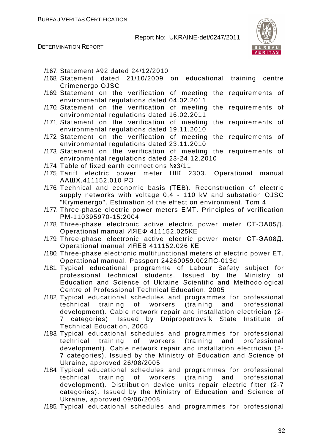

- /167/ Statement #92 dated 24/12/2010
- /168/ Statement dated 21/10/2009 on educational training centre Crimenergo OJSC
- /169/ Statement on the verification of meeting the requirements of environmental regulations dated 04.02.2011
- /170/ Statement on the verification of meeting the requirements of environmental regulations dated 16.02.2011
- /171/ Statement on the verification of meeting the requirements of environmental regulations dated 19.11.2010
- /172/ Statement on the verification of meeting the requirements of environmental regulations dated 23.11.2010
- /173/ Statement on the verification of meeting the requirements of environmental regulations dated 23-24.12.2010
- /174/ Table of fixed earth connections №3/11
- /175/ Tariff electric power meter НІК 2303. Operational manual ААШХ.411152.010 РЭ
- /176/ Technical and economic basis (ТЕB). Reconstruction of electric supply networks with voltage 0,4 - 110 kV and substation OJSC "Krymenergo". Estimation of the effect on environment. Tom 4
- /177/ Three-phase electric power meters ЕМТ. Principles of verification РМ-110395970-15:2004
- /178/ Three-phase electronic active electric power meter СТ-ЭА05Д. Operational manual ИЯЕФ 411152.025КЕ
- /179/ Three-phase electronic active electric power meter СТ-ЭА08Д. Operational manual ИЯЕВ 411152.026 КЕ
- /180/ Three-phase electronic multifunctional meters of electric power ET. Operational manual. Passport 24260059.002ПС-013d
- /181/ Typical educational programme of Labour Safety subject for professional technical students. Issued by the Ministry of Education and Science of Ukraine Scientific and Methodological Centre of Professional Technical Education, 2005
- /182/ Typical educational schedules and programmes for professional technical training of workers (training and professional development). Cable network repair and installation electrician (2- 7 categories). Issued by Dnipropetrovs'k State Institute of Technical Education, 2005
- /183/ Typical educational schedules and programmes for professional technical training of workers (training and professional development). Cable network repair and installation electrician (2- 7 categories). Issued by the Ministry of Education and Science of Ukraine, approved 26/08/2005
- /184/ Typical educational schedules and programmes for professional technical training of workers (training and professional development). Distribution device units repair electric fitter (2-7 categories). Issued by the Ministry of Education and Science of Ukraine, approved 09/06/2008
- /185/ Typical educational schedules and programmes for professional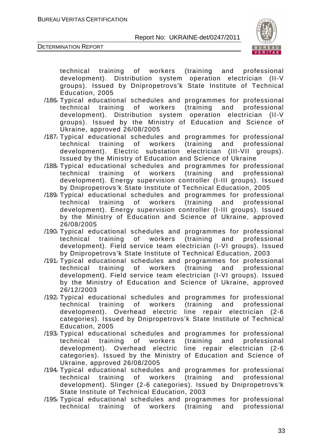



technical training of workers (training and professional development). Distribution system operation electrician (II-V groups). Issued by Dnipropetrovs'k State Institute of Technical Education, 2005

- /186/ Typical educational schedules and programmes for professional technical training of workers (training and professional development). Distribution system operation electrician (II-V groups). Issued by the Ministry of Education and Science of Ukraine, approved 26/08/2005
- /187/ Typical educational schedules and programmes for professional technical training of workers (training and professional development). Electric substation electrician (III-VII groups). Issued by the Ministry of Education and Science of Ukraine
- /188/ Typical educational schedules and programmes for professional technical training of workers (training and professional development). Energy supervision controller (I-III groups). Issued by Dnipropetrovs'k State Institute of Technical Education, 2005
- /189/ Typical educational schedules and programmes for professional technical training of workers (training and professional development). Energy supervision controller (I-III groups). Issued by the Ministry of Education and Science of Ukraine, approved 26/08/2005
- /190/ Typical educational schedules and programmes for professional technical training of workers (training and professional development). Field service team electrician (I-VI groups). Issued by Dnipropetrovs'k State Institute of Technical Education, 2003
- /191/ Typical educational schedules and programmes for professional technical training of workers (training and professional development). Field service team electrician (I-VI groups). Issued by the Ministry of Education and Science of Ukraine, approved 26/12/2003
- /192/ Typical educational schedules and programmes for professional technical training of workers (training and professional development). Overhead electric line repair electrician (2-6 categories). Issued by Dnipropetrovs'k State Institute of Technical Education, 2005
- /193/ Typical educational schedules and programmes for professional technical training of workers (training and professional development). Overhead electric line repair electrician (2-6 categories). Issued by the Ministry of Education and Science of Ukraine, approved 26/08/2005
- /194/ Typical educational schedules and programmes for professional technical training of workers (training and professional development). Slinger (2-6 categories). Issued by Dnipropetrovs'k State Institute of Technical Education, 2003
- /195/ Typical educational schedules and programmes for professional technical training of workers (training and professional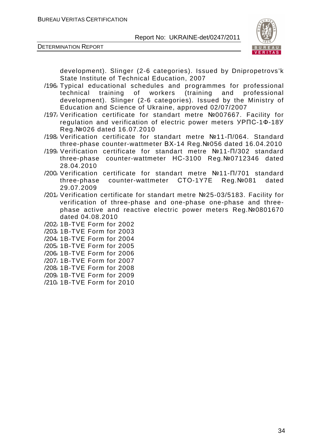

DETERMINATION REPORT

development). Slinger (2-6 categories). Issued by Dnipropetrovs'k State Institute of Technical Education, 2007

- /196/ Typical educational schedules and programmes for professional technical training of workers (training and professional development). Slinger (2-6 categories). Issued by the Ministry of Education and Science of Ukraine, approved 02/07/2007
- /197/ Verification certificate for standart metre №007667. Facility for regulation and verification of electric power meters УРПС-1Ф-18У Reg.№026 dated 16.07.2010
- /198/ Verification certificate for standart metre №11-П/064. Standard three-phase counter-wattmeter ВХ-14 Reg.№056 dated 16.04.2010
- /199/ Verification certificate for standart metre №11-П/302 standard three-phase counter-wattmeter НС-3100 Reg.№0712346 dated 28.04.2010
- /200/ Verification certificate for standart metre №11-П/701 standard three-phase counter-wattmeter СТО-1Y7E Reg.№081 dated 29.07.2009
- /201/ Verification certificate for standart metre №25-03/5183. Facility for verification of three-phase and one-phase one-phase and threephase active and reactive electric power meters Reg.№0801670 dated 04.08.2010
- /202/ 1B-TVE Form for 2002
- /203/ 1B-TVE Form for 2003
- /204/ 1B-TVE Form for 2004
- /205/ 1B-TVE Form for 2005
- /206/ 1B-TVE Form for 2006
- /207/ 1B-TVE Form for 2007
- /208/ 1B-TVE Form for 2008
- /209/ 1B-TVE Form for 2009
- /210/ 1B-TVE Form for 2010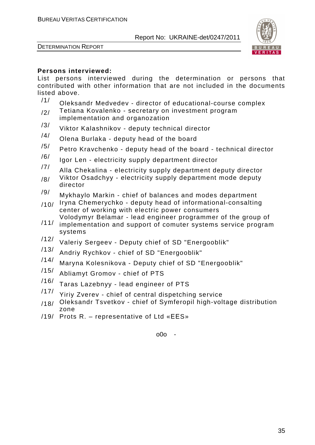



#### **Persons interviewed:**

List persons interviewed during the determination or persons that contributed with other information that are not included in the documents listed above.

- $/1/$  Oleksandr Medvedev director of educational-course complex
- $/2/$  Tetiana Kovalenko secretary on investment program implementation and organozation
- /3/ Viktor Kalashnikov deputy technical director
- /4/ Olena Burlaka deputy head of the board
- $/5/$  Petro Kravchenko deputy head of the board technical director
- $/6/$  Igor Len electricity supply department director
- $/7/$  Alla Chekalina electricity supply department deputy director
- $/8/$  Viktor Osadchyy electricity supply department mode deputy director
- $/9/$  Mykhaylo Markin chief of balances and modes department
- $/10/$  Iryna Chemerychko deputy head of informational-consalting center of working with electric power consumers Volodymyr Belamar - lead engineer programmer of the group of
- /11/ implementation and support of comuter systems service program systems
- <sup>/12/</sup> Valeriy Sergeev Deputy chief of SD "Energooblik"<br><sup>/13/</sup> Andriu Ducklew shief of SD "Energooblik"
- Andriy Rychkov chief of SD "Energooblik"
- /14/ Maryna Kolesnikova Deputy chief of SD "Energooblik"
- /15/ Abliamyt Gromov chief of PTS
- /16/ Taras Lazebnyy lead engineer of PTS
- /17/ Yiriy Zverev chief of central dispetching service
- /18/ Oleksandr Tsvetkov chief of Symferopil high-voltage distribution zone
- /19/ Prots R. representative of Ltd «ЕЕS»

o0o -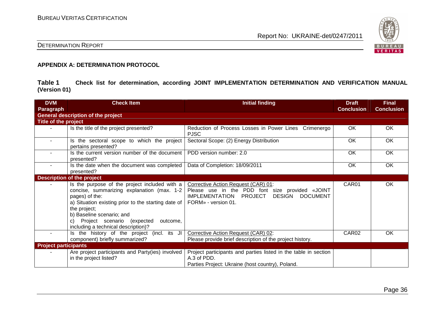

#### DETERMINATION REPORT

#### **APPENDIX A: DETERMINATION PROTOCOL**

**Table 1 Check list for determination, according JOINT IMPLEMENTATION DETERMINATION AND VERIFICATION MANUAL (Version 01)** 

| <b>DVM</b><br>Paragraph     | <b>Check Item</b>                                                                                                                                                                                                                                                                                        | <b>Initial finding</b>                                                                                                                                                                | <b>Draft</b><br><b>Conclusion</b> | <b>Final</b><br><b>Conclusion</b> |
|-----------------------------|----------------------------------------------------------------------------------------------------------------------------------------------------------------------------------------------------------------------------------------------------------------------------------------------------------|---------------------------------------------------------------------------------------------------------------------------------------------------------------------------------------|-----------------------------------|-----------------------------------|
|                             | <b>General description of the project</b>                                                                                                                                                                                                                                                                |                                                                                                                                                                                       |                                   |                                   |
| Title of the project        |                                                                                                                                                                                                                                                                                                          |                                                                                                                                                                                       |                                   |                                   |
|                             | Is the title of the project presented?                                                                                                                                                                                                                                                                   | Reduction of Process Losses in Power Lines Crimenergo<br><b>PJSC</b>                                                                                                                  | OK                                | OK                                |
| $\sim$                      | Is the sectoral scope to which the project<br>pertains presented?                                                                                                                                                                                                                                        | Sectoral Scope: (2) Energy Distribution                                                                                                                                               | OK                                | OK                                |
|                             | Is the current version number of the document<br>presented?                                                                                                                                                                                                                                              | PDD version number: 2.0                                                                                                                                                               | OK                                | OK                                |
| $\sim$                      | Is the date when the document was completed<br>presented?                                                                                                                                                                                                                                                | Data of Completion: 18/09/2011                                                                                                                                                        | OK.                               | OK                                |
|                             | <b>Description of the project</b>                                                                                                                                                                                                                                                                        |                                                                                                                                                                                       |                                   |                                   |
|                             | Is the purpose of the project included with a<br>concise, summarizing explanation (max. 1-2<br>pages) of the:<br>a) Situation existing prior to the starting date of<br>the project;<br>b) Baseline scenario; and<br>Project scenario (expected<br>outcome,<br>C)<br>including a technical description)? | Corrective Action Request (CAR) 01:<br>Please use in the PDD font size provided «JOINT<br><b>DESIGN</b><br><b>DOCUMENT</b><br><b>IMPLEMENTATION</b><br>PROJECT<br>FORM» - version 01. | CAR01                             | OK                                |
| $\sim$                      | Is the history of the project (incl. its JI<br>component) briefly summarized?                                                                                                                                                                                                                            | Corrective Action Request (CAR) 02:<br>Please provide brief description of the project history.                                                                                       | CAR <sub>02</sub>                 | <b>OK</b>                         |
| <b>Project participants</b> |                                                                                                                                                                                                                                                                                                          |                                                                                                                                                                                       |                                   |                                   |
|                             | Are project participants and Party(ies) involved<br>in the project listed?                                                                                                                                                                                                                               | Project participants and parties listed in the table in section<br>A.3 of PDD.<br>Parties Project: Ukraine (host country), Poland.                                                    |                                   |                                   |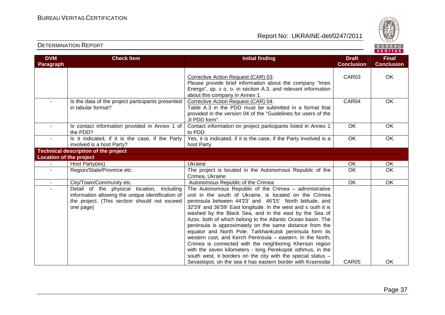



| <b>DVM</b><br>Paragraph        | <b>Check Item</b>                                                                                                                                            | <b>Initial finding</b>                                                                                                                                                                                                                                                                                                                                                                                                                                                                                                                                                                                                                                                                                                                                                                                           | <b>Draft</b><br><b>Conclusion</b> | <b>Final</b><br><b>Conclusion</b> |
|--------------------------------|--------------------------------------------------------------------------------------------------------------------------------------------------------------|------------------------------------------------------------------------------------------------------------------------------------------------------------------------------------------------------------------------------------------------------------------------------------------------------------------------------------------------------------------------------------------------------------------------------------------------------------------------------------------------------------------------------------------------------------------------------------------------------------------------------------------------------------------------------------------------------------------------------------------------------------------------------------------------------------------|-----------------------------------|-----------------------------------|
|                                |                                                                                                                                                              | Corrective Action Request (CAR) 03:<br>Please provide brief information about the company "Imex<br>Energo", sp. z o. o. in section A.3, and relevant information<br>about this company in Annex 1.                                                                                                                                                                                                                                                                                                                                                                                                                                                                                                                                                                                                               | CAR03                             | OK                                |
|                                | Is the data of the project participants presented<br>in tabular format?                                                                                      | Corrective Action Request (CAR) 04:<br>Table A.3 in the PDD must be submitted in a format that<br>provided in the version 04 of the "Guidelines for users of the<br>JI PDD form".                                                                                                                                                                                                                                                                                                                                                                                                                                                                                                                                                                                                                                | CAR04                             | OK                                |
|                                | Is contact information provided in Annex 1 of<br>the PDD?                                                                                                    | Contact information on project participants listed in Annex 1<br>to PDD.                                                                                                                                                                                                                                                                                                                                                                                                                                                                                                                                                                                                                                                                                                                                         | <b>OK</b>                         | OK                                |
|                                | Is it indicated, if it is the case, if the Party<br>involved is a host Party?                                                                                | Yes, it is indicated, if it is the case, if the Party involved is a<br>host Party                                                                                                                                                                                                                                                                                                                                                                                                                                                                                                                                                                                                                                                                                                                                | OK                                | OK                                |
|                                | <b>Technical description of the project</b>                                                                                                                  |                                                                                                                                                                                                                                                                                                                                                                                                                                                                                                                                                                                                                                                                                                                                                                                                                  |                                   |                                   |
| <b>Location of the project</b> |                                                                                                                                                              |                                                                                                                                                                                                                                                                                                                                                                                                                                                                                                                                                                                                                                                                                                                                                                                                                  |                                   |                                   |
|                                | Host Party(ies)                                                                                                                                              | Ukraine                                                                                                                                                                                                                                                                                                                                                                                                                                                                                                                                                                                                                                                                                                                                                                                                          | OK                                | OK                                |
| $\blacksquare$                 | Region/State/Province etc.                                                                                                                                   | The project is located in the Autonomous Republic of the<br>Crimea, Ukraine                                                                                                                                                                                                                                                                                                                                                                                                                                                                                                                                                                                                                                                                                                                                      | OK                                | OK                                |
| $\blacksquare$                 | City/Town/Community etc.                                                                                                                                     | Autonomous Republic of the Crimea                                                                                                                                                                                                                                                                                                                                                                                                                                                                                                                                                                                                                                                                                                                                                                                | $\overline{OK}$                   | <b>OK</b>                         |
|                                | Detail of the physical location, including<br>information allowing the unique identification of<br>the project. (This section should not exceed<br>one page) | The Autonomous Republic of the Crimea - administrative<br>unit in the south of Ukraine, is located on the Crimea<br>peninsula between 4423' and 4695' North latitude, and<br>3229' and 36'39' East longitude. In the west and s outh it is<br>washed by the Black Sea, and in the east by the Sea of<br>Azov, both of which belong to the Atlantic Ocean basin. The<br>peninsula is approximately on the same distance from the<br>equator and North Pole. Tarkhankutsk peninsula form its<br>western cost, and Kerch Peninsula - eastern. In the North,<br>Crimea is connected with the neighboring Kherson region<br>with the seven kilometers - long Perekopsk isthmus, in the<br>south west, it borders on the city with the special status -<br>Sevastopol, on the sea it has eastern border with Krasnodar | CAR05                             | OK                                |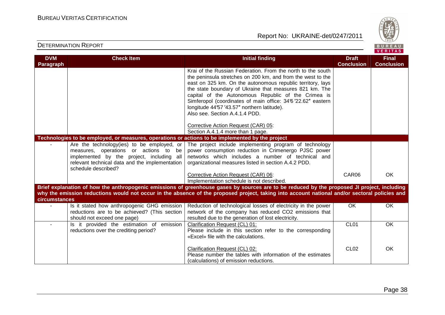

| <b>DVM</b>    | <b>Check Item</b>                                                                                | <b>Initial finding</b>                                                                                                                        | <b>Draft</b>      | <b>Final</b>      |
|---------------|--------------------------------------------------------------------------------------------------|-----------------------------------------------------------------------------------------------------------------------------------------------|-------------------|-------------------|
| Paragraph     |                                                                                                  |                                                                                                                                               | <b>Conclusion</b> | <b>Conclusion</b> |
|               |                                                                                                  | Krai of the Russian Federation. From the north to the south                                                                                   |                   |                   |
|               |                                                                                                  | the peninsula stretches on 200 km, and from the west to the                                                                                   |                   |                   |
|               |                                                                                                  | east on 325 km. On the autonomous republic territory, lays                                                                                    |                   |                   |
|               |                                                                                                  | the state boundary of Ukraine that measures 821 km. The                                                                                       |                   |                   |
|               |                                                                                                  | capital of the Autonomous Republic of the Crimea is                                                                                           |                   |                   |
|               |                                                                                                  | Simferopol (coordinates of main office: 346'22.62" eastern                                                                                    |                   |                   |
|               |                                                                                                  | longitude 44°57'43.57" northern latitude).                                                                                                    |                   |                   |
|               |                                                                                                  | Also see. Section A.4.1.4 PDD.                                                                                                                |                   |                   |
|               |                                                                                                  | Corrective Action Request (CAR) 05:                                                                                                           |                   |                   |
|               |                                                                                                  | Section A.4.1.4 more than 1 page.                                                                                                             |                   |                   |
|               | Technologies to be employed, or measures, operations or actions to be implemented by the project |                                                                                                                                               |                   |                   |
|               | Are the technology(ies) to be employed, or                                                       | The project include implementing program of technology                                                                                        |                   |                   |
|               | measures, operations or actions to be                                                            | power consumption reduction in Crimenergo PJSC power                                                                                          |                   |                   |
|               | implemented by the project, including all                                                        | networks which includes a number of technical and                                                                                             |                   |                   |
|               | relevant technical data and the implementation                                                   | organizational measures listed in section A.4.2 PDD.                                                                                          |                   |                   |
|               | schedule described?                                                                              |                                                                                                                                               |                   |                   |
|               |                                                                                                  | Corrective Action Request (CAR) 06:                                                                                                           | CAR06             | <b>OK</b>         |
|               |                                                                                                  | Implementation schedule is not described.                                                                                                     |                   |                   |
|               |                                                                                                  | Brief explanation of how the anthropogenic emissions of greenhouse gases by sources are to be reduced by the proposed JI project, including   |                   |                   |
|               |                                                                                                  | why the emission reductions would not occur in the absence of the proposed project, taking into account national and/or sectoral policies and |                   |                   |
| circumstances |                                                                                                  |                                                                                                                                               |                   |                   |
|               | Is it stated how anthropogenic GHG emission                                                      | Reduction of technological losses of electricity in the power                                                                                 | OK                | <b>OK</b>         |
|               | reductions are to be achieved? (This section                                                     | network of the company has reduced CO2 emissions that                                                                                         |                   |                   |
|               | should not exceed one page)                                                                      | resulted due to the generation of lost electricity.                                                                                           |                   |                   |
| $\sim$        | Is it provided the estimation of emission                                                        | Clarification Request (CL) 01:                                                                                                                | CL <sub>01</sub>  | <b>OK</b>         |
|               | reductions over the crediting period?                                                            | Please include in this section refer to the corresponding                                                                                     |                   |                   |
|               |                                                                                                  | «Excel» file with the calculations.                                                                                                           |                   |                   |
|               |                                                                                                  | Clarification Request (CL) 02:                                                                                                                | CL <sub>02</sub>  | OK                |
|               |                                                                                                  | Please number the tables with information of the estimates                                                                                    |                   |                   |
|               |                                                                                                  | (calculations) of emission reductions.                                                                                                        |                   |                   |
|               |                                                                                                  |                                                                                                                                               |                   |                   |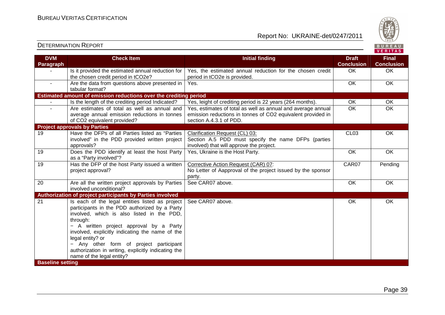

| <b>DVM</b><br><b>Paragraph</b> | <b>Check Item</b>                                                                                                                                                                                                                                                                                                                                                                                           | <b>Initial finding</b>                                                                                                                                 | <b>Draft</b><br><b>Conclusion</b> | <b>Final</b><br><b>Conclusion</b> |
|--------------------------------|-------------------------------------------------------------------------------------------------------------------------------------------------------------------------------------------------------------------------------------------------------------------------------------------------------------------------------------------------------------------------------------------------------------|--------------------------------------------------------------------------------------------------------------------------------------------------------|-----------------------------------|-----------------------------------|
|                                | Is it provided the estimated annual reduction for<br>the chosen credit period in tCO2e?                                                                                                                                                                                                                                                                                                                     | Yes, the estimated annual reduction for the chosen credit<br>period in tCO2e is provided.                                                              | OK                                | OK                                |
| $\sim$                         | Are the data from questions above presented in<br>tabular format?                                                                                                                                                                                                                                                                                                                                           | Yes.                                                                                                                                                   | $\overline{OK}$                   | $\overline{OK}$                   |
|                                | Estimated amount of emission reductions over the crediting period                                                                                                                                                                                                                                                                                                                                           |                                                                                                                                                        |                                   |                                   |
|                                | Is the length of the crediting period Indicated?                                                                                                                                                                                                                                                                                                                                                            | Yes, leight of crediting period is 22 years (264 months).                                                                                              | OK                                | OK                                |
| $\sim$                         | Are estimates of total as well as annual and<br>average annual emission reductions in tonnes<br>of CO2 equivalent provided?                                                                                                                                                                                                                                                                                 | Yes, estimates of total as well as annual and average annual<br>emission reductions in tonnes of CO2 equivalent provided in<br>section A.4.3.1 of PDD. | OK                                | OK                                |
|                                | <b>Project approvals by Parties</b>                                                                                                                                                                                                                                                                                                                                                                         |                                                                                                                                                        |                                   |                                   |
| 19                             | Have the DFPs of all Parties listed as "Parties<br>involved" in the PDD provided written project<br>approvals?                                                                                                                                                                                                                                                                                              | Clarification Request (CL) 03:<br>Section A.5 PDD must specify the name DFPs (parties<br>involved) that will approve the project.                      | CL <sub>03</sub>                  | OK                                |
| $\overline{19}$                | Does the PDD identify at least the host Party<br>as a "Party involved"?                                                                                                                                                                                                                                                                                                                                     | Yes, Ukraine is the Host Party.                                                                                                                        | OK                                | OK                                |
| $\overline{19}$                | Has the DFP of the host Party issued a written<br>project approval?                                                                                                                                                                                                                                                                                                                                         | Corrective Action Request (CAR) 07:<br>No Letter of Aapproval of the project issued by the sponsor<br>party.                                           | CAR07                             | Pending                           |
| $\overline{20}$                | Are all the written project approvals by Parties<br>involved unconditional?                                                                                                                                                                                                                                                                                                                                 | See CAR07 above.                                                                                                                                       | OK                                | OK                                |
|                                | Authorization of project participants by Parties involved                                                                                                                                                                                                                                                                                                                                                   |                                                                                                                                                        |                                   |                                   |
| 21<br><b>Baseline setting</b>  | Is each of the legal entities listed as project<br>participants in the PDD authorized by a Party<br>involved, which is also listed in the PDD,<br>through:<br>- A written project approval by a Party<br>involved, explicitly indicating the name of the<br>legal entity? or<br>- Any other form of project participant<br>authorization in writing, explicitly indicating the<br>name of the legal entity? | See CAR07 above.                                                                                                                                       | OK                                | OK                                |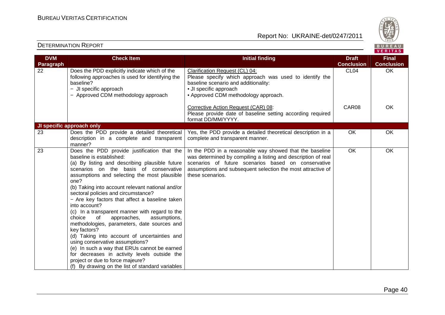

| <b>DVM</b> | <b>Check Item</b>                                                                                                                                                                                                                                                                                                                                                                                                                                                                                                                                                                                                                                                                                                                                                                                                                    | <b>Initial finding</b>                                                                                                                                                                                                                                             | <b>Draft</b>      | <b>Final</b>      |
|------------|--------------------------------------------------------------------------------------------------------------------------------------------------------------------------------------------------------------------------------------------------------------------------------------------------------------------------------------------------------------------------------------------------------------------------------------------------------------------------------------------------------------------------------------------------------------------------------------------------------------------------------------------------------------------------------------------------------------------------------------------------------------------------------------------------------------------------------------|--------------------------------------------------------------------------------------------------------------------------------------------------------------------------------------------------------------------------------------------------------------------|-------------------|-------------------|
| Paragraph  |                                                                                                                                                                                                                                                                                                                                                                                                                                                                                                                                                                                                                                                                                                                                                                                                                                      |                                                                                                                                                                                                                                                                    | <b>Conclusion</b> | <b>Conclusion</b> |
| 22         | Does the PDD explicitly indicate which of the<br>following approaches is used for identifying the<br>baseline?<br>- JI specific approach<br>- Approved CDM methodology approach                                                                                                                                                                                                                                                                                                                                                                                                                                                                                                                                                                                                                                                      | Clarification Request (CL) 04:<br>Please specify which approach was used to identify the<br>baseline scenario and additionality:<br>• JI specific approach<br>• Approved CDM methodology approach.                                                                 | CL <sub>04</sub>  | OK                |
|            |                                                                                                                                                                                                                                                                                                                                                                                                                                                                                                                                                                                                                                                                                                                                                                                                                                      | Corrective Action Request (CAR) 08:<br>Please provide date of baseline setting according required<br>format DD/MM/YYYY.                                                                                                                                            | CAR08             | <b>OK</b>         |
|            | JI specific approach only                                                                                                                                                                                                                                                                                                                                                                                                                                                                                                                                                                                                                                                                                                                                                                                                            |                                                                                                                                                                                                                                                                    |                   |                   |
| 23         | Does the PDD provide a detailed theoretical<br>description in a complete and transparent<br>manner?                                                                                                                                                                                                                                                                                                                                                                                                                                                                                                                                                                                                                                                                                                                                  | Yes, the PDD provide a detailed theoretical description in a<br>complete and transparent manner.                                                                                                                                                                   | OK                | OK                |
| 23         | Does the PDD provide justification that the<br>baseline is established:<br>(a) By listing and describing plausible future<br>scenarios on the basis of conservative<br>assumptions and selecting the most plausible<br>one?<br>(b) Taking into account relevant national and/or<br>sectoral policies and circumstance?<br>- Are key factors that affect a baseline taken<br>into account?<br>(c) In a transparent manner with regard to the<br>approaches,<br>assumptions,<br>choice<br>0f<br>methodologies, parameters, date sources and<br>key factors?<br>(d) Taking into account of uncertainties and<br>using conservative assumptions?<br>(e) In such a way that ERUs cannot be earned<br>for decreases in activity levels outside the<br>project or due to force majeure?<br>(f) By drawing on the list of standard variables | In the PDD in a reasonable way showed that the baseline<br>was determined by compiling a listing and description of real<br>scenarios of future scenarios based on conservative<br>assumptions and subsequent selection the most attractive of<br>these scenarios. | $\overline{OK}$   | OK                |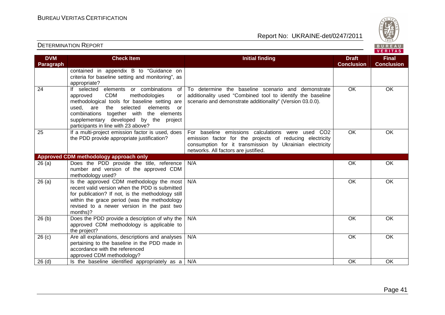

| <b>DVM</b><br><b>Paragraph</b> | <b>Check Item</b>                                                                                                                                                                                                                                                                                                             | <b>Initial finding</b>                                                                                                                                                                                                           | <b>Draft</b><br><b>Conclusion</b> | <b>Final</b><br><b>Conclusion</b> |
|--------------------------------|-------------------------------------------------------------------------------------------------------------------------------------------------------------------------------------------------------------------------------------------------------------------------------------------------------------------------------|----------------------------------------------------------------------------------------------------------------------------------------------------------------------------------------------------------------------------------|-----------------------------------|-----------------------------------|
|                                | contained in appendix B to "Guidance on<br>criteria for baseline setting and monitoring", as<br>appropriate?                                                                                                                                                                                                                  |                                                                                                                                                                                                                                  |                                   |                                   |
| 24                             | elements or combinations<br>If selected<br>of<br><b>CDM</b><br>methodologies<br>approved<br>or<br>methodological tools for baseline setting are<br>the selected<br>elements<br>are<br>used.<br>or<br>combinations together with the elements<br>supplementary developed by the project<br>participants in line with 23 above? | To determine the baseline scenario and demonstrate<br>additionality used "Combined tool to identify the baseline<br>scenario and demonstrate additionality" (Version 03.0.0).                                                    | <b>OK</b>                         | OK                                |
| 25                             | If a multi-project emission factor is used, does<br>the PDD provide appropriate justification?                                                                                                                                                                                                                                | For baseline emissions calculations were used<br>CO <sub>2</sub><br>emission factor for the projects of reducing electricity<br>consumption for it transmission by Ukrainian electricity<br>networks. All factors are justified. | $\overline{OK}$                   | <b>OK</b>                         |
|                                | <b>Approved CDM methodology approach only</b>                                                                                                                                                                                                                                                                                 |                                                                                                                                                                                                                                  |                                   |                                   |
| 26(a)                          | Does the PDD provide the title, reference<br>number and version of the approved CDM<br>methodology used?                                                                                                                                                                                                                      | N/A                                                                                                                                                                                                                              | <b>OK</b>                         | OK                                |
| 26(a)                          | Is the approved CDM methodology the most<br>recent valid version when the PDD is submitted<br>for publication? If not, is the methodology still<br>within the grace period (was the methodology<br>revised to a newer version in the past two<br>months)?                                                                     | N/A                                                                                                                                                                                                                              | <b>OK</b>                         | <b>OK</b>                         |
| 26(b)                          | Does the PDD provide a description of why the<br>approved CDM methodology is applicable to<br>the project?                                                                                                                                                                                                                    | N/A                                                                                                                                                                                                                              | <b>OK</b>                         | <b>OK</b>                         |
| 26(c)                          | Are all explanations, descriptions and analyses<br>pertaining to the baseline in the PDD made in<br>accordance with the referenced<br>approved CDM methodology?                                                                                                                                                               | N/A                                                                                                                                                                                                                              | <b>OK</b>                         | OK                                |
| $26$ (d)                       | Is the baseline identified appropriately as a                                                                                                                                                                                                                                                                                 | N/A                                                                                                                                                                                                                              | OK                                | OK                                |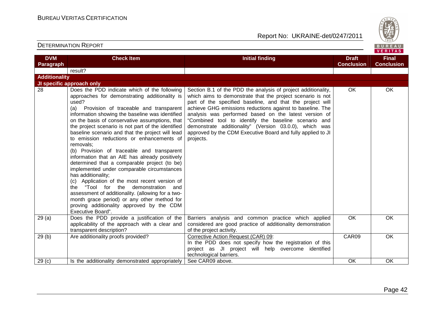

| <b>DVM</b>           | <b>Check Item</b>                                                                                                                                                                                                                                                                                                                                                                                                                                                                                                                                                                                                                                                                                                                                                                                                                                                                                               | <b>Initial finding</b>                                                                                                                                                                                                                                                                                                                                                                                                                                                                                       | <b>Draft</b>      | <b>Final</b>      |
|----------------------|-----------------------------------------------------------------------------------------------------------------------------------------------------------------------------------------------------------------------------------------------------------------------------------------------------------------------------------------------------------------------------------------------------------------------------------------------------------------------------------------------------------------------------------------------------------------------------------------------------------------------------------------------------------------------------------------------------------------------------------------------------------------------------------------------------------------------------------------------------------------------------------------------------------------|--------------------------------------------------------------------------------------------------------------------------------------------------------------------------------------------------------------------------------------------------------------------------------------------------------------------------------------------------------------------------------------------------------------------------------------------------------------------------------------------------------------|-------------------|-------------------|
| Paragraph            |                                                                                                                                                                                                                                                                                                                                                                                                                                                                                                                                                                                                                                                                                                                                                                                                                                                                                                                 |                                                                                                                                                                                                                                                                                                                                                                                                                                                                                                              | <b>Conclusion</b> | <b>Conclusion</b> |
|                      | result?                                                                                                                                                                                                                                                                                                                                                                                                                                                                                                                                                                                                                                                                                                                                                                                                                                                                                                         |                                                                                                                                                                                                                                                                                                                                                                                                                                                                                                              |                   |                   |
| <b>Additionality</b> |                                                                                                                                                                                                                                                                                                                                                                                                                                                                                                                                                                                                                                                                                                                                                                                                                                                                                                                 |                                                                                                                                                                                                                                                                                                                                                                                                                                                                                                              |                   |                   |
|                      | JI specific approach only                                                                                                                                                                                                                                                                                                                                                                                                                                                                                                                                                                                                                                                                                                                                                                                                                                                                                       |                                                                                                                                                                                                                                                                                                                                                                                                                                                                                                              |                   |                   |
| 28                   | Does the PDD indicate which of the following<br>approaches for demonstrating additionality is<br>used?<br>(a) Provision of traceable and transparent<br>information showing the baseline was identified<br>on the basis of conservative assumptions, that<br>the project scenario is not part of the identified<br>baseline scenario and that the project will lead<br>to emission reductions or enhancements of<br>removals;<br>(b) Provision of traceable and transparent<br>information that an AIE has already positively<br>determined that a comparable project (to be)<br>implemented under comparable circumstances<br>has additionality;<br>(c) Application of the most recent version of<br>the "Tool for the demonstration and<br>assessment of additionality. (allowing for a two-<br>month grace period) or any other method for<br>proving additionality approved by the CDM<br>Executive Board". | Section B.1 of the PDD the analysis of project additionality,<br>which aims to demonstrate that the project scenario is not<br>part of the specified baseline, and that the project will<br>achieve GHG emissions reductions against to baseline. The<br>analysis was performed based on the latest version of<br>"Combined tool to identify the baseline scenario and<br>demonstrate additionality" (Version 03.0.0), which was<br>approved by the CDM Executive Board and fully applied to JI<br>projects. | OK.               | <b>OK</b>         |
| 29(a)                | Does the PDD provide a justification of the<br>applicability of the approach with a clear and<br>transparent description?                                                                                                                                                                                                                                                                                                                                                                                                                                                                                                                                                                                                                                                                                                                                                                                       | Barriers analysis and common practice which applied<br>considered are good practice of additionality demonstration<br>of the project activity.                                                                                                                                                                                                                                                                                                                                                               | OK                | <b>OK</b>         |
| 29(b)                | Are additionality proofs provided?                                                                                                                                                                                                                                                                                                                                                                                                                                                                                                                                                                                                                                                                                                                                                                                                                                                                              | Corrective Action Request (CAR) 09:<br>In the PDD does not specify how the registration of this<br>project as JI project will help overcome identified<br>technological barriers.                                                                                                                                                                                                                                                                                                                            | CAR09             | <b>OK</b>         |
| 29 <sub>(c)</sub>    | Is the additionality demonstrated appropriately                                                                                                                                                                                                                                                                                                                                                                                                                                                                                                                                                                                                                                                                                                                                                                                                                                                                 | See CAR09 above.                                                                                                                                                                                                                                                                                                                                                                                                                                                                                             | OK                | OK                |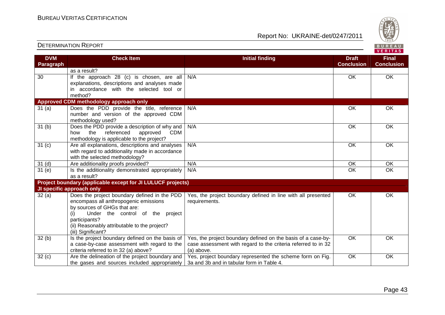| <b>DETERMINATION REPORT</b> |  |
|-----------------------------|--|
|-----------------------------|--|

| <b>DETERMINATION REPORT</b>    |                                                                                                                                                                                                                                                         |                                                                                                                                             | BUREAU<br><b>VERITAS</b>          |                                   |
|--------------------------------|---------------------------------------------------------------------------------------------------------------------------------------------------------------------------------------------------------------------------------------------------------|---------------------------------------------------------------------------------------------------------------------------------------------|-----------------------------------|-----------------------------------|
| <b>DVM</b><br><b>Paragraph</b> | <b>Check Item</b>                                                                                                                                                                                                                                       | <b>Initial finding</b>                                                                                                                      | <b>Draft</b><br><b>Conclusion</b> | <b>Final</b><br><b>Conclusion</b> |
|                                | as a result?                                                                                                                                                                                                                                            |                                                                                                                                             |                                   |                                   |
| 30                             | If the approach 28 (c) is chosen, are all<br>explanations, descriptions and analyses made<br>in accordance with the selected tool or<br>method?                                                                                                         | N/A                                                                                                                                         | OK                                | <b>OK</b>                         |
|                                | Approved CDM methodology approach only                                                                                                                                                                                                                  |                                                                                                                                             |                                   |                                   |
| 31(a)                          | Does the PDD provide the title, reference<br>number and version of the approved CDM<br>methodology used?                                                                                                                                                | N/A                                                                                                                                         | OK                                | <b>OK</b>                         |
| 31 <sub>(b)</sub>              | Does the PDD provide a description of why and<br>referenced<br><b>CDM</b><br>the<br>approved<br>how<br>methodology is applicable to the project?                                                                                                        | N/A                                                                                                                                         | $\overline{OK}$                   | OK                                |
| 31 <sub>(c)</sub>              | Are all explanations, descriptions and analyses<br>with regard to additionality made in accordance<br>with the selected methodology?                                                                                                                    | N/A                                                                                                                                         | OK                                | <b>OK</b>                         |
| 31 <sub>(d)</sub>              | Are additionality proofs provided?                                                                                                                                                                                                                      | N/A                                                                                                                                         | <b>OK</b>                         | <b>OK</b>                         |
| 31(e)                          | Is the additionality demonstrated appropriately<br>as a result?                                                                                                                                                                                         | N/A                                                                                                                                         | <b>OK</b>                         | $\overline{OK}$                   |
|                                | Project boundary (applicable except for JI LULUCF projects)                                                                                                                                                                                             |                                                                                                                                             |                                   |                                   |
|                                | JI specific approach only                                                                                                                                                                                                                               |                                                                                                                                             |                                   |                                   |
| 32(a)                          | Does the project boundary defined in the PDD<br>encompass all anthropogenic emissions<br>by sources of GHGs that are:<br>Under the control of the project<br>(i)<br>participants?<br>(ii) Reasonably attributable to the project?<br>(iii) Significant? | Yes, the project boundary defined in line with all presented<br>requirements.                                                               | <b>OK</b>                         | <b>OK</b>                         |
| 32(b)                          | Is the project boundary defined on the basis of<br>a case-by-case assessment with regard to the<br>criteria referred to in 32 (a) above?                                                                                                                | Yes, the project boundary defined on the basis of a case-by-<br>case assessment with regard to the criteria referred to in 32<br>(a) above. | OK                                | OK                                |
| 32(c)                          | Are the delineation of the project boundary and<br>the gases and sources included appropriately                                                                                                                                                         | Yes, project boundary represented the scheme form on Fig.<br>3a and 3b and in tabular form in Table 4.                                      | OK                                | OK                                |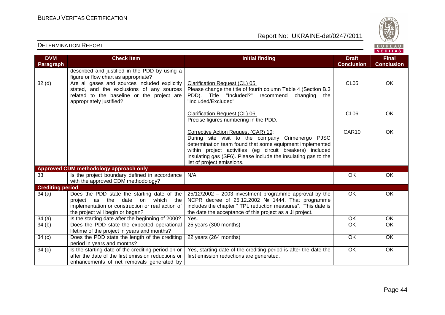

| <b>DVM</b>              | <b>Check Item</b>                                                                                                                                                             | <b>Initial finding</b>                                                                                                                                                                                                                                                                                          | <b>Draft</b>      | <b>Final</b>      |
|-------------------------|-------------------------------------------------------------------------------------------------------------------------------------------------------------------------------|-----------------------------------------------------------------------------------------------------------------------------------------------------------------------------------------------------------------------------------------------------------------------------------------------------------------|-------------------|-------------------|
| Paragraph               |                                                                                                                                                                               |                                                                                                                                                                                                                                                                                                                 | <b>Conclusion</b> | <b>Conclusion</b> |
|                         | described and justified in the PDD by using a<br>figure or flow chart as appropriate?                                                                                         |                                                                                                                                                                                                                                                                                                                 |                   |                   |
| 32 <sub>(d)</sub>       | Are all gases and sources included explicitly<br>stated, and the exclusions of any sources<br>related to the baseline or the project are<br>appropriately justified?          | Clarification Request (CL) 05:<br>Please change the title of fourth column Table 4 (Section B.3<br>PDD). Title "Included?"<br>recommend<br>changing<br>the<br>"Included/Excluded"                                                                                                                               | CL <sub>05</sub>  | OK                |
|                         |                                                                                                                                                                               | Clarification Request (CL) 06:<br>Precise figures numbering in the PDD.                                                                                                                                                                                                                                         | CL <sub>06</sub>  | OK                |
|                         |                                                                                                                                                                               | Corrective Action Request (CAR) 10:<br>During site visit to the company Crimenergo PJSC<br>determination team found that some equipment implemented<br>within project activities (eg circuit breakers) included<br>insulating gas (SF6). Please include the insulating gas to the<br>list of project emissions. | CAR10             | OK                |
|                         | Approved CDM methodology approach only                                                                                                                                        |                                                                                                                                                                                                                                                                                                                 |                   |                   |
| 33                      | Is the project boundary defined in accordance<br>with the approved CDM methodology?                                                                                           | N/A                                                                                                                                                                                                                                                                                                             | <b>OK</b>         | <b>OK</b>         |
| <b>Crediting period</b> |                                                                                                                                                                               |                                                                                                                                                                                                                                                                                                                 |                   |                   |
| 34(a)                   | Does the PDD state the starting date of the<br>project as the<br>date on<br>which the<br>implementation or construction or real action of<br>the project will begin or began? | 25/12/2002 - 2003 investment programme approval by the<br>NCPR decree of 25.12.2002 № 1444. That programme<br>includes the chapter "TPL reduction measures". This date is<br>the date the acceptance of this project as a JI project.                                                                           | <b>OK</b>         | OK                |
| 34(a)                   | Is the starting date after the beginning of 2000?                                                                                                                             | Yes.                                                                                                                                                                                                                                                                                                            | $\overline{OK}$   | $\overline{OK}$   |
| 34(b)                   | Does the PDD state the expected operational<br>lifetime of the project in years and months?                                                                                   | 25 years (300 months)                                                                                                                                                                                                                                                                                           | $\overline{OK}$   | $\overline{OK}$   |
| 34(c)                   | Does the PDD state the length of the crediting<br>period in years and months?                                                                                                 | 22 years (264 months)                                                                                                                                                                                                                                                                                           | OK                | OK                |
| 34(c)                   | Is the starting date of the crediting period on or<br>after the date of the first emission reductions or<br>enhancements of net removals generated by                         | Yes, starting date of the crediting period is after the date the<br>first emission reductions are generated.                                                                                                                                                                                                    | $\overline{OK}$   | $\overline{OK}$   |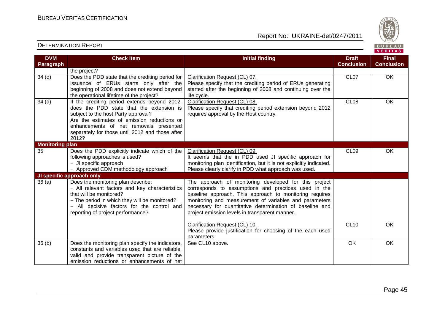

| <b>DVM</b>             | <b>Check Item</b>                                                                      | <b>Initial finding</b>                                                     | <b>Draft</b>      | <b>Final</b>      |
|------------------------|----------------------------------------------------------------------------------------|----------------------------------------------------------------------------|-------------------|-------------------|
| Paragraph              |                                                                                        |                                                                            | <b>Conclusion</b> | <b>Conclusion</b> |
|                        | the project?                                                                           |                                                                            |                   |                   |
| 34 <sub>(d)</sub>      | Does the PDD state that the crediting period for                                       | Clarification Request (CL) 07:                                             | CL <sub>07</sub>  | OK                |
|                        | issuance of ERUs starts only after the<br>beginning of 2008 and does not extend beyond | Please specify that the crediting period of ERUs generating                |                   |                   |
|                        | the operational lifetime of the project?                                               | started after the beginning of 2008 and continuing over the<br>life cycle. |                   |                   |
| 34 <sub>(d)</sub>      | If the crediting period extends beyond 2012,                                           | Clarification Request (CL) 08:                                             | CL <sub>08</sub>  | OK                |
|                        | does the PDD state that the extension is                                               | Please specify that crediting period extension beyond 2012                 |                   |                   |
|                        | subject to the host Party approval?                                                    | requires approval by the Host country.                                     |                   |                   |
|                        | Are the estimates of emission reductions or                                            |                                                                            |                   |                   |
|                        | enhancements of net removals presented                                                 |                                                                            |                   |                   |
|                        | separately for those until 2012 and those after                                        |                                                                            |                   |                   |
|                        | 2012?                                                                                  |                                                                            |                   |                   |
| <b>Monitoring plan</b> |                                                                                        |                                                                            |                   |                   |
| 35                     | Does the PDD explicitly indicate which of the                                          | Clarification Request (CL) 09:                                             | CL <sub>09</sub>  | <b>OK</b>         |
|                        | following approaches is used?                                                          | It seems that the in PDD used JI specific approach for                     |                   |                   |
|                        | - JI specific approach                                                                 | monitoring plan identification, but it is not explicitly indicated.        |                   |                   |
|                        | - Approved CDM methodology approach                                                    | Please clearly clarify in PDD what approach was used.                      |                   |                   |
|                        | JI specific approach only                                                              |                                                                            |                   |                   |
| 36(a)                  | Does the monitoring plan describe:                                                     | The approach of monitoring developed for this project                      |                   |                   |
|                        | - All relevant factors and key characteristics                                         | corresponds to assumptions and practices used in the                       |                   |                   |
|                        | that will be monitored?                                                                | baseline approach. This approach to monitoring requires                    |                   |                   |
|                        | - The period in which they will be monitored?                                          | monitoring and measurement of variables and parameters                     |                   |                   |
|                        | - All decisive factors for the control and                                             | necessary for quantitative determination of baseline and                   |                   |                   |
|                        | reporting of project performance?                                                      | project emission levels in transparent manner.                             |                   |                   |
|                        |                                                                                        | Clarification Request (CL) 10:                                             | <b>CL10</b>       | OK                |
|                        |                                                                                        | Please provide justification for choosing of the each used                 |                   |                   |
|                        |                                                                                        | parameters.                                                                |                   |                   |
| 36(b)                  | Does the monitoring plan specify the indicators,                                       | See CL10 above.                                                            | OK                | OK                |
|                        | constants and variables used that are reliable.                                        |                                                                            |                   |                   |
|                        | valid and provide transparent picture of the                                           |                                                                            |                   |                   |
|                        | emission reductions or enhancements of net                                             |                                                                            |                   |                   |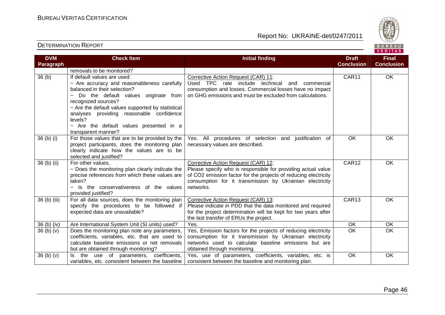

| <b>DVM</b>        | <b>Check Item</b>                                                                                                                                                                                                                                                                                                                                             | <b>Initial finding</b>                                                                                                                                                                                                                          | <b>Draft</b>      | <b>Final</b>      |
|-------------------|---------------------------------------------------------------------------------------------------------------------------------------------------------------------------------------------------------------------------------------------------------------------------------------------------------------------------------------------------------------|-------------------------------------------------------------------------------------------------------------------------------------------------------------------------------------------------------------------------------------------------|-------------------|-------------------|
| Paragraph         |                                                                                                                                                                                                                                                                                                                                                               |                                                                                                                                                                                                                                                 | <b>Conclusion</b> | <b>Conclusion</b> |
| 36 <sub>(b)</sub> | removals to be monitored?<br>If default values are used:<br>- Are accuracy and reasonableness carefully<br>balanced in their selection?<br>Do the default values originate from<br>recognized sources?<br>- Are the default values supported by statistical<br>analyses providing reasonable confidence<br>levels?<br>- Are the default values presented in a | Corrective Action Request (CAR) 11:<br>Used TPC rate include technical<br>and<br>commercial<br>consumption and losses. Commercial losses have no impact<br>on GHG emissions and must be excluded from calculations.                             | CAR11             | $\overline{OK}$   |
| 36 (b) (i)        | transparent manner?<br>For those values that are to be provided by the<br>project participants, does the monitoring plan<br>clearly indicate how the values are to be<br>selected and justified?                                                                                                                                                              | Yes. All procedures of selection and justification of<br>necessary values are described.                                                                                                                                                        | OK                | OK                |
| 36 (b) (ii)       | For other values,<br>- Does the monitoring plan clearly indicate the<br>precise references from which these values are<br>taken?<br>- Is the conservativeness of the values<br>provided justified?                                                                                                                                                            | Corrective Action Request (CAR) 12:<br>Please specify who is responsible for providing actual value<br>of CO2 emission factor for the projects of reducing electricity<br>consumption for it transmission by Ukrainian electricity<br>networks. | CAR <sub>12</sub> | $\overline{OK}$   |
| 36 (b) (iii)      | For all data sources, does the monitoring plan<br>specify the procedures to be followed if<br>expected data are unavailable?                                                                                                                                                                                                                                  | Corrective Action Request (CAR) 13:<br>Please indicate in PDD that the data monitored and required<br>for the project determination will be kept for two years after<br>the last transfer of ERUs the project.                                  | CAR13             | OK                |
| 36 (b) (iv)       | Are International System Unit (SI units) used?                                                                                                                                                                                                                                                                                                                | Yes.                                                                                                                                                                                                                                            | OK                | OK                |
| 36 (b) (v)        | Does the monitoring plan note any parameters,<br>coefficients, variables, etc. that are used to<br>calculate baseline emissions or net removals<br>but are obtained through monitoring?                                                                                                                                                                       | Yes, Emission factors for the projects of reducing electricity<br>consumption for it transmission by Ukrainian electricity<br>networks used to calculate baseline emissions but are<br>obtained through monitoring.                             | $\overline{OK}$   | $\overline{OK}$   |
| 36(b)(v)          | use of parameters, coefficients,<br>the<br>ls.<br>variables, etc. consistent between the baseline                                                                                                                                                                                                                                                             | Yes, use of parameters, coefficients, variables, etc. is<br>consistent between the baseline and monitoring plan.                                                                                                                                | OK                | OK                |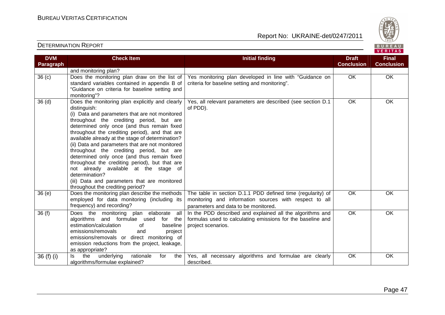

| <b>DVM</b><br>Paragraph | <b>Check Item</b>                                                                                                                                                                                                                                                                                                                                                                                                                                                                                                                                                                                                                                                 | <b>Initial finding</b>                                                                                                                                        | <b>Draft</b><br><b>Conclusion</b> | <b>Final</b><br><b>Conclusion</b> |
|-------------------------|-------------------------------------------------------------------------------------------------------------------------------------------------------------------------------------------------------------------------------------------------------------------------------------------------------------------------------------------------------------------------------------------------------------------------------------------------------------------------------------------------------------------------------------------------------------------------------------------------------------------------------------------------------------------|---------------------------------------------------------------------------------------------------------------------------------------------------------------|-----------------------------------|-----------------------------------|
|                         | and monitoring plan?                                                                                                                                                                                                                                                                                                                                                                                                                                                                                                                                                                                                                                              |                                                                                                                                                               |                                   |                                   |
| 36 <sub>(c)</sub>       | Does the monitoring plan draw on the list of<br>standard variables contained in appendix B of<br>"Guidance on criteria for baseline setting and<br>monitoring"?                                                                                                                                                                                                                                                                                                                                                                                                                                                                                                   | Yes monitoring plan developed in line with "Guidance on<br>criteria for baseline setting and monitoring".                                                     | <b>OK</b>                         | OK                                |
| 36 <sub>(d)</sub>       | Does the monitoring plan explicitly and clearly<br>distinguish:<br>(i) Data and parameters that are not monitored<br>throughout the crediting period, but are<br>determined only once (and thus remain fixed<br>throughout the crediting period), and that are<br>available already at the stage of determination?<br>(ii) Data and parameters that are not monitored<br>throughout the crediting period, but are<br>determined only once (and thus remain fixed<br>throughout the crediting period), but that are<br>not already available at the stage of<br>determination?<br>(iii) Data and parameters that are monitored<br>throughout the crediting period? | Yes, all relevant parameters are described (see section D.1)<br>of PDD).                                                                                      | $\overline{OK}$                   | OK                                |
| 36 (e)                  | Does the monitoring plan describe the methods<br>employed for data monitoring (including its<br>frequency) and recording?                                                                                                                                                                                                                                                                                                                                                                                                                                                                                                                                         | The table in section D.1.1 PDD defined time (regularity) of<br>monitoring and information sources with respect to all<br>parameters and data to be monitored. | <b>OK</b>                         | OK                                |
| 36(f)                   | Does the monitoring plan elaborate<br>all<br>and formulae used<br>algorithms<br>for the<br>estimation/calculation<br>of<br>baseline<br>emissions/removals<br>and<br>project<br>emissions/removals or direct monitoring of<br>emission reductions from the project, leakage,<br>as appropriate?                                                                                                                                                                                                                                                                                                                                                                    | In the PDD described and explained all the algorithms and<br>formulas used to calculating emissions for the baseline and<br>project scenarios.                | OK                                | OK                                |
| 36 (f) (i)              | the<br>rationale<br>underlying<br>for<br>the<br>ls.<br>algorithms/formulae explained?                                                                                                                                                                                                                                                                                                                                                                                                                                                                                                                                                                             | Yes, all necessary algorithms and formulae are clearly<br>described.                                                                                          | OK                                | OK                                |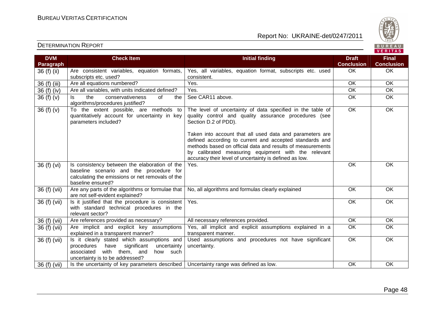

| <b>DVM</b>   | <b>Check Item</b>                                                                        | <b>Initial finding</b>                                                                                              | <b>Draft</b>      | <b>Final</b>      |
|--------------|------------------------------------------------------------------------------------------|---------------------------------------------------------------------------------------------------------------------|-------------------|-------------------|
| Paragraph    |                                                                                          |                                                                                                                     | <b>Conclusion</b> | <b>Conclusion</b> |
| 36 (f) (ii)  | Are consistent variables, equation formats,                                              | Yes, all variables, equation format, subscripts etc. used                                                           | <b>OK</b>         | OK                |
|              | subscripts etc. used?                                                                    | consistent.                                                                                                         |                   |                   |
| 36 (f) (iii) | Are all equations numbered?                                                              | Yes.                                                                                                                | OK                | <b>OK</b>         |
| 36 (f) (iv)  | Are all variables, with units indicated defined?                                         | Yes.                                                                                                                | OK                | OK                |
| 36 $(f)(v)$  | the<br>conservativeness<br>of<br>ls.<br>the                                              | See CAR11 above.                                                                                                    | OK                | OK                |
|              | algorithms/procedures justified?                                                         |                                                                                                                     |                   |                   |
| 36(f)(v)     | To the extent possible, are methods to<br>quantitatively account for uncertainty in key  | The level of uncertainty of data specified in the table of<br>quality control and quality assurance procedures (see | OK                | OK                |
|              | parameters included?                                                                     | Section D.2 of PDD).                                                                                                |                   |                   |
|              |                                                                                          | Taken into account that all used data and parameters are                                                            |                   |                   |
|              |                                                                                          | defined according to current and accepted standards and                                                             |                   |                   |
|              |                                                                                          | methods based on official data and results of measurements                                                          |                   |                   |
|              |                                                                                          | by calibrated measuring equipment with the relevant                                                                 |                   |                   |
|              |                                                                                          | accuracy their level of uncertainty is defined as low.                                                              |                   |                   |
| 36 (f) (vi)  | Is consistency between the elaboration of the<br>baseline scenario and the procedure for | Yes.                                                                                                                | OK                | OK                |
|              | calculating the emissions or net removals of the                                         |                                                                                                                     |                   |                   |
|              | baseline ensured?                                                                        |                                                                                                                     |                   |                   |
| 36 (f) (vii) | Are any parts of the algorithms or formulae that                                         | No, all algorithms and formulas clearly explained                                                                   | <b>OK</b>         | OK                |
|              | are not self-evident explained?                                                          |                                                                                                                     |                   |                   |
| 36 (f) (vii) | Is it justified that the procedure is consistent                                         | Yes.                                                                                                                | OK                | OK                |
|              | with standard technical procedures in the                                                |                                                                                                                     |                   |                   |
|              | relevant sector?                                                                         |                                                                                                                     |                   |                   |
| 36 (f) (vii) | Are references provided as necessary?                                                    | All necessary references provided.                                                                                  | <b>OK</b>         | OK                |
| 36 (f) (vii) | Are implicit and explicit key assumptions                                                | Yes, all implicit and explicit assumptions explained in a                                                           | <b>OK</b>         | OK                |
|              | explained in a transparent manner?                                                       | transparent manner.                                                                                                 |                   |                   |
| 36 (f) (vii) | Is it clearly stated which assumptions and                                               | Used assumptions and procedures not have significant                                                                | $\overline{OK}$   | $\overline{OK}$   |
|              | significant<br>have<br>procedures<br>uncertainty<br>associated                           | uncertainty.                                                                                                        |                   |                   |
|              | with them, and<br>how such<br>uncertainty is to be addressed?                            |                                                                                                                     |                   |                   |
| 36 (f) (vii) | Is the uncertainty of key parameters described                                           | Uncertainty range was defined as low.                                                                               | OK                | OK                |
|              |                                                                                          |                                                                                                                     |                   |                   |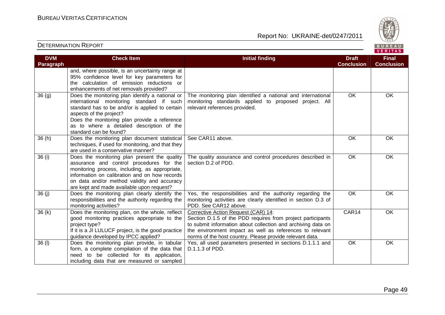

| <b>DVM</b><br>Paragraph | <b>Check Item</b>                                                                                                                                                                                                                                                                                 | <b>Initial finding</b>                                                                                                                                                                                                                                                                     | <b>Draft</b><br><b>Conclusion</b> | <b>Final</b><br><b>Conclusion</b> |
|-------------------------|---------------------------------------------------------------------------------------------------------------------------------------------------------------------------------------------------------------------------------------------------------------------------------------------------|--------------------------------------------------------------------------------------------------------------------------------------------------------------------------------------------------------------------------------------------------------------------------------------------|-----------------------------------|-----------------------------------|
|                         | and, where possible, is an uncertainty range at<br>95% confidence level for key parameters for<br>the calculation of emission reductions or<br>enhancements of net removals provided?                                                                                                             |                                                                                                                                                                                                                                                                                            |                                   |                                   |
| 36(9)                   | Does the monitoring plan identify a national or<br>international monitoring standard if such<br>standard has to be and/or is applied to certain<br>aspects of the project?<br>Does the monitoring plan provide a reference<br>as to where a detailed description of the<br>standard can be found? | The monitoring plan identified a national and international<br>monitoring standards applied to proposed project. All<br>relevant references provided.                                                                                                                                      | <b>OK</b>                         | <b>OK</b>                         |
| 36(h)                   | Does the monitoring plan document statistical<br>techniques, if used for monitoring, and that they<br>are used in a conservative manner?                                                                                                                                                          | See CAR11 above.                                                                                                                                                                                                                                                                           | <b>OK</b>                         | OK                                |
| 36 (i)                  | Does the monitoring plan present the quality<br>assurance and control procedures for the<br>monitoring process, including, as appropriate,<br>information on calibration and on how records<br>on data and/or method validity and accuracy<br>are kept and made available upon request?           | The quality assurance and control procedures described in<br>section D.2 of PDD.                                                                                                                                                                                                           | <b>OK</b>                         | OK                                |
| 36(j)                   | Does the monitoring plan clearly identify the<br>responsibilities and the authority regarding the<br>monitoring activities?                                                                                                                                                                       | Yes, the responsibilities and the authority regarding the<br>monitoring activities are clearly identified in section D.3 of<br>PDD. See CAR12 above.                                                                                                                                       | $\overline{OK}$                   | OK                                |
| 36(k)                   | Does the monitoring plan, on the whole, reflect<br>good monitoring practices appropriate to the<br>project type?<br>If it is a JI LULUCF project, is the good practice<br>guidance developed by IPCC applied?                                                                                     | Corrective Action Request (CAR) 14:<br>Section D.1.5 of the PDD requires from project participants<br>to submit information about collection and archiving data on<br>the environment impact as well as references to relevant<br>norms of the host country. Please provide relevant data. | CAR14                             | OK                                |
| $36$ (l)                | Does the monitoring plan provide, in tabular<br>form, a complete compilation of the data that<br>need to be collected for its application,<br>including data that are measured or sampled                                                                                                         | Yes, all used parameters presented in sections D.1.1.1 and<br>D.1.1.3 of PDD.                                                                                                                                                                                                              | OK                                | OK                                |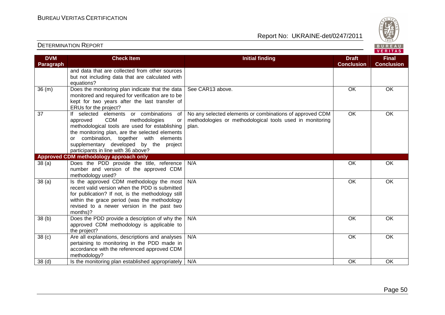

| <b>DVM</b>        | <b>Check Item</b>                                                                                                                                                                                                                                                                                                             | <b>Initial finding</b>                                                                                                        | <b>Draft</b>      | <b>Final</b>      |
|-------------------|-------------------------------------------------------------------------------------------------------------------------------------------------------------------------------------------------------------------------------------------------------------------------------------------------------------------------------|-------------------------------------------------------------------------------------------------------------------------------|-------------------|-------------------|
| Paragraph         |                                                                                                                                                                                                                                                                                                                               |                                                                                                                               | <b>Conclusion</b> | <b>Conclusion</b> |
|                   | and data that are collected from other sources<br>but not including data that are calculated with                                                                                                                                                                                                                             |                                                                                                                               |                   |                   |
|                   | equations?                                                                                                                                                                                                                                                                                                                    |                                                                                                                               |                   |                   |
| 36(m)             | Does the monitoring plan indicate that the data<br>monitored and required for verification are to be<br>kept for two years after the last transfer of<br>ERUs for the project?                                                                                                                                                | See CAR13 above.                                                                                                              | <b>OK</b>         | <b>OK</b>         |
| 37                | If selected elements or combinations<br>of<br><b>CDM</b><br>methodologies<br>approved<br>or<br>methodological tools are used for establishing<br>the monitoring plan, are the selected elements<br>combination, together with elements<br>or<br>supplementary developed by the project<br>participants in line with 36 above? | No any selected elements or combinations of approved CDM<br>methodologies or methodological tools used in monitoring<br>plan. | OK                | OK                |
|                   | Approved CDM methodology approach only                                                                                                                                                                                                                                                                                        |                                                                                                                               |                   |                   |
| 38(a)             | Does the PDD provide the title, reference<br>number and version of the approved CDM<br>methodology used?                                                                                                                                                                                                                      | N/A                                                                                                                           | OK                | <b>OK</b>         |
| 38(a)             | Is the approved CDM methodology the most<br>recent valid version when the PDD is submitted<br>for publication? If not, is the methodology still<br>within the grace period (was the methodology<br>revised to a newer version in the past two<br>months)?                                                                     | N/A                                                                                                                           | <b>OK</b>         | OK                |
| 38 <sub>(b)</sub> | Does the PDD provide a description of why the<br>approved CDM methodology is applicable to<br>the project?                                                                                                                                                                                                                    | N/A                                                                                                                           | OK                | OK                |
| 38 <sub>(c)</sub> | Are all explanations, descriptions and analyses<br>pertaining to monitoring in the PDD made in<br>accordance with the referenced approved CDM<br>methodology?                                                                                                                                                                 | N/A                                                                                                                           | <b>OK</b>         | $\overline{OK}$   |
| 38 <sub>(d)</sub> | Is the monitoring plan established appropriately                                                                                                                                                                                                                                                                              | N/A                                                                                                                           | OK                | <b>OK</b>         |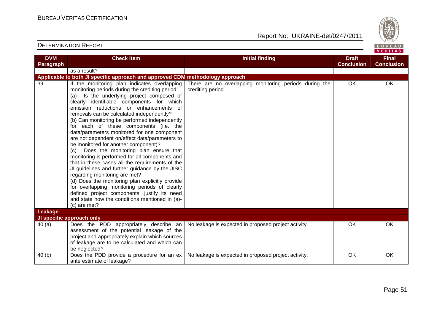

| <b>DVM</b> | <b>Check Item</b>                                                                                                                                                                                                                                                                                                                                                                                                                                                                                                                                                                                                                                                                                                                                                                                                                                                                                                                                                                 | <b>Initial finding</b>                                                      | <b>Draft</b>      | <b>Final</b>      |
|------------|-----------------------------------------------------------------------------------------------------------------------------------------------------------------------------------------------------------------------------------------------------------------------------------------------------------------------------------------------------------------------------------------------------------------------------------------------------------------------------------------------------------------------------------------------------------------------------------------------------------------------------------------------------------------------------------------------------------------------------------------------------------------------------------------------------------------------------------------------------------------------------------------------------------------------------------------------------------------------------------|-----------------------------------------------------------------------------|-------------------|-------------------|
| Paragraph  |                                                                                                                                                                                                                                                                                                                                                                                                                                                                                                                                                                                                                                                                                                                                                                                                                                                                                                                                                                                   |                                                                             | <b>Conclusion</b> | <b>Conclusion</b> |
|            | as a result?                                                                                                                                                                                                                                                                                                                                                                                                                                                                                                                                                                                                                                                                                                                                                                                                                                                                                                                                                                      |                                                                             |                   |                   |
|            | Applicable to both JI specific approach and approved CDM methodology approach                                                                                                                                                                                                                                                                                                                                                                                                                                                                                                                                                                                                                                                                                                                                                                                                                                                                                                     |                                                                             |                   |                   |
| 39         | If the monitoring plan indicates overlapping<br>monitoring periods during the crediting period:<br>(a) Is the underlying project composed of<br>clearly identifiable components for which<br>emission reductions or enhancements of<br>removals can be calculated independently?<br>(b) Can monitoring be performed independently<br>for each of these components (i.e. the<br>data/parameters monitored for one component<br>are not dependent on/effect data/parameters to<br>be monitored for another component)?<br>Does the monitoring plan ensure that<br>(c)<br>monitoring is performed for all components and<br>that in these cases all the requirements of the<br>JI guidelines and further guidance by the JISC<br>regarding monitoring are met?<br>(d) Does the monitoring plan explicitly provide<br>for overlapping monitoring periods of clearly<br>defined project components, justify its need<br>and state how the conditions mentioned in (a)-<br>(c) are met? | There are no overlapping monitoring periods during the<br>crediting period. | OK                | <b>OK</b>         |
| Leakage    |                                                                                                                                                                                                                                                                                                                                                                                                                                                                                                                                                                                                                                                                                                                                                                                                                                                                                                                                                                                   |                                                                             |                   |                   |
|            | JI specific approach only                                                                                                                                                                                                                                                                                                                                                                                                                                                                                                                                                                                                                                                                                                                                                                                                                                                                                                                                                         |                                                                             |                   |                   |
| 40(a)      | Does the PDD appropriately describe an<br>assessment of the potential leakage of the<br>project and appropriately explain which sources<br>of leakage are to be calculated and which can<br>be neglected?                                                                                                                                                                                                                                                                                                                                                                                                                                                                                                                                                                                                                                                                                                                                                                         | No leakage is expected in proposed project activity.                        | OK                | OK                |
| 40(b)      | Does the PDD provide a procedure for an ex<br>ante estimate of leakage?                                                                                                                                                                                                                                                                                                                                                                                                                                                                                                                                                                                                                                                                                                                                                                                                                                                                                                           | No leakage is expected in proposed project activity.                        | OK                | OK                |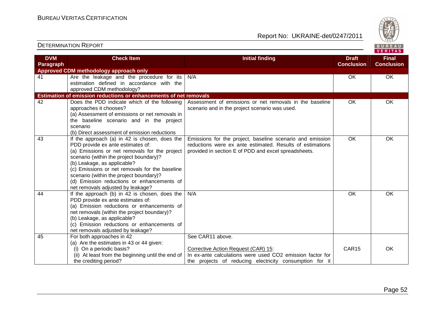

#### **VERITAS Check Item Initial finding Check Item Initial finding Check Item Initial finding Check Item Initial finding Check DVM Final Paragraph Conclusion Conclusion Approved CDM methodology approach only**  41 Are the leakage and the procedure for its N/A OK OK OK estimation defined in accordance with the approved CDM methodology? **Estimation of emission reductions or enhancements of net removals** 42 Does the PDD indicate which of the following Assessment of emissions or net removals in the baseline OK OK approaches it chooses? scenario and in the project scenario was used. (a) Assessment of emissions or net removals in the baseline scenario and in the project scenario (b) Direct assessment of emission reductions 43 If the approach (a) in 42 is chosen, does the OK OK Emissions for the project, baseline scenario and emission PDD provide ex ante estimates of: reductions were ex ante estimated. Results of estimations (a) Emissions or net removals for the project provided in section E of PDD and excel spreadsheets. scenario (within the project boundary)? (b) Leakage, as applicable? (c) Emissions or net removals for the baseline scenario (within the project boundary)? (d) Emission reductions or enhancements of net removals adjusted by leakage? 44 If the approach (b) in 42 is chosen, does the N/A OK OK OK PDD provide ex ante estimates of: (a) Emission reductions or enhancements of net removals (within the project boundary)? (b) Leakage, as applicable? (c) Emission reductions or enhancements of net removals adjusted by leakage? 45 For both approaches in 42 See CAR11 above. (a) Are the estimates in 43 or 44 given: (i) On a periodic basis? Corrective Action Request (CAR) 15: CAR15 OK (ii) At least from the beginning until the end of In ex-ante calculations were used СО2 emission factor for the projects of reducing electricity consumption for it the crediting period?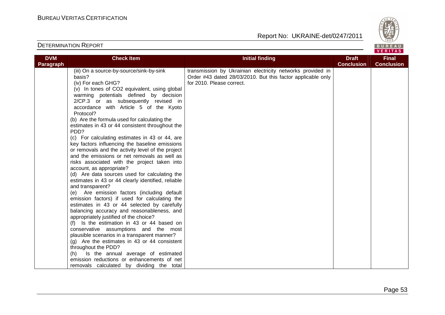

| <b>DVM</b>       | <b>Check Item</b>                                                                    | <b>Initial finding</b>                                      | <b>Draft</b>      | <b>Final</b>      |
|------------------|--------------------------------------------------------------------------------------|-------------------------------------------------------------|-------------------|-------------------|
| <b>Paragraph</b> |                                                                                      |                                                             | <b>Conclusion</b> | <b>Conclusion</b> |
|                  | (iii) On a source-by-source/sink-by-sink                                             | transmission by Ukrainian electricity networks provided in  |                   |                   |
|                  | basis?                                                                               | Order #43 dated 28/03/2010. But this factor applicable only |                   |                   |
|                  | (iv) For each GHG?                                                                   | for 2010. Please correct.                                   |                   |                   |
|                  | (v) In tones of CO2 equivalent, using global                                         |                                                             |                   |                   |
|                  | warming potentials defined by decision                                               |                                                             |                   |                   |
|                  | 2/CP.3 or as subsequently revised in                                                 |                                                             |                   |                   |
|                  | accordance with Article 5 of the Kyoto                                               |                                                             |                   |                   |
|                  | Protocol?                                                                            |                                                             |                   |                   |
|                  | (b) Are the formula used for calculating the                                         |                                                             |                   |                   |
|                  | estimates in 43 or 44 consistent throughout the                                      |                                                             |                   |                   |
|                  | PDD?                                                                                 |                                                             |                   |                   |
|                  | (c) For calculating estimates in 43 or 44, are                                       |                                                             |                   |                   |
|                  | key factors influencing the baseline emissions                                       |                                                             |                   |                   |
|                  | or removals and the activity level of the project                                    |                                                             |                   |                   |
|                  | and the emissions or net removals as well as                                         |                                                             |                   |                   |
|                  | risks associated with the project taken into                                         |                                                             |                   |                   |
|                  | account, as appropriate?                                                             |                                                             |                   |                   |
|                  | (d) Are data sources used for calculating the                                        |                                                             |                   |                   |
|                  | estimates in 43 or 44 clearly identified, reliable                                   |                                                             |                   |                   |
|                  | and transparent?                                                                     |                                                             |                   |                   |
|                  | (e) Are emission factors (including default                                          |                                                             |                   |                   |
|                  | emission factors) if used for calculating the                                        |                                                             |                   |                   |
|                  | estimates in 43 or 44 selected by carefully                                          |                                                             |                   |                   |
|                  | balancing accuracy and reasonableness, and                                           |                                                             |                   |                   |
|                  | appropriately justified of the choice?                                               |                                                             |                   |                   |
|                  | (f) Is the estimation in 43 or 44 based on                                           |                                                             |                   |                   |
|                  | conservative assumptions and the most                                                |                                                             |                   |                   |
|                  | plausible scenarios in a transparent manner?                                         |                                                             |                   |                   |
|                  | $(g)$ Are the estimates in 43 or 44 consistent                                       |                                                             |                   |                   |
|                  | throughout the PDD?                                                                  |                                                             |                   |                   |
|                  | (h) Is the annual average of estimated<br>emission reductions or enhancements of net |                                                             |                   |                   |
|                  |                                                                                      |                                                             |                   |                   |
|                  | removals calculated by dividing the total                                            |                                                             |                   |                   |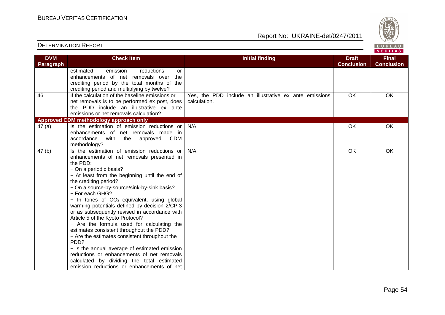|                         | <b>DETERMINATION REPORT</b>                                                                                                                                                                                                                                                                                                                                                                                                                                                                                                                                                                                                                                                                                                                                                                                                 |                                                                        |                                   | BUREAU<br><b>VERITAS</b>          |
|-------------------------|-----------------------------------------------------------------------------------------------------------------------------------------------------------------------------------------------------------------------------------------------------------------------------------------------------------------------------------------------------------------------------------------------------------------------------------------------------------------------------------------------------------------------------------------------------------------------------------------------------------------------------------------------------------------------------------------------------------------------------------------------------------------------------------------------------------------------------|------------------------------------------------------------------------|-----------------------------------|-----------------------------------|
| <b>DVM</b><br>Paragraph | <b>Check Item</b>                                                                                                                                                                                                                                                                                                                                                                                                                                                                                                                                                                                                                                                                                                                                                                                                           | <b>Initial finding</b>                                                 | <b>Draft</b><br><b>Conclusion</b> | <b>Final</b><br><b>Conclusion</b> |
|                         | emission<br>estimated<br>reductions<br>or<br>enhancements of net removals over the<br>crediting period by the total months of the<br>crediting period and multiplying by twelve?                                                                                                                                                                                                                                                                                                                                                                                                                                                                                                                                                                                                                                            |                                                                        |                                   |                                   |
| 46                      | If the calculation of the baseline emissions or<br>net removals is to be performed ex post, does<br>the PDD include an illustrative ex ante<br>emissions or net removals calculation?                                                                                                                                                                                                                                                                                                                                                                                                                                                                                                                                                                                                                                       | Yes, the PDD include an illustrative ex ante emissions<br>calculation. | OK                                | OK                                |
|                         | Approved CDM methodology approach only                                                                                                                                                                                                                                                                                                                                                                                                                                                                                                                                                                                                                                                                                                                                                                                      |                                                                        |                                   |                                   |
| 47(a)                   | Is the estimation of emission reductions or<br>enhancements of net removals made in<br>CDM<br>accordance<br>with<br>the<br>approved<br>methodology?                                                                                                                                                                                                                                                                                                                                                                                                                                                                                                                                                                                                                                                                         | N/A                                                                    | OK                                | OK                                |
| 47 (b)                  | Is the estimation of emission reductions or<br>enhancements of net removals presented in<br>the PDD:<br>- On a periodic basis?<br>- At least from the beginning until the end of<br>the crediting period?<br>- On a source-by-source/sink-by-sink basis?<br>- For each GHG?<br>$-$ In tones of CO <sub>2</sub> equivalent, using global<br>warming potentials defined by decision 2/CP.3<br>or as subsequently revised in accordance with<br>Article 5 of the Kyoto Protocol?<br>- Are the formula used for calculating the<br>estimates consistent throughout the PDD?<br>- Are the estimates consistent throughout the<br>PDD?<br>- Is the annual average of estimated emission<br>reductions or enhancements of net removals<br>calculated by dividing the total estimated<br>emission reductions or enhancements of net | N/A                                                                    | OK                                | OK                                |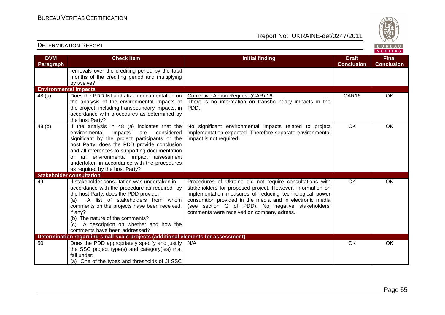Report No: UKRAINE-det/0247/2011



#### **VERITAS Check Item Initial finding Check Item Initial finding Check Item Initial finding Check Item Initial finding Check DVM Final Paragraph Conclusion Conclusion** removals over the crediting period by the total months of the crediting period and multiplying by twelve? **Environmental impacts**  48 (a) Does the PDD list and attach documentation on Corrective Action Request (CAR) 16: CAR16 OK the analysis of the environmental impacts of There is no information on transboundary impacts in the the project, including transboundary impacts, in PDD. accordance with procedures as determined by the host Party? 48 (b) If the analysis in 48 (a) indicates that theNo significant environmental impacts related to project OK OK environmental impacts are considered implementation expected. Therefore separate environmental significant by the project participants or the impact is not required. host Party, does the PDD provide conclusion and all references to supporting documentation of an environmental impact assessment undertaken in accordance with the procedures as required by the host Party? **Stakeholder consultation**  49 If stakeholder consultation was undertaken in Procedures of Ukraine did not require consultations with OK OK accordance with the procedure as required by stakeholders for proposed project. However, information on the host Party, does the PDD provide: implementation measures of reducing technological power (a) A list of stakeholders from whom consumtion provided in the media and in electronic media (see section G of PDD). No negative stakeholders' comments on the projects have been received, if any? comments were received on company adress. (b) The nature of the comments? (c) A description on whether and how the comments have been addressed? **Determination regarding small-scale projects (additional elements for assessment)** 50 Does the PDD appropriately specify and justify N/A N/A OK OK OK the SSC project type(s) and category(ies) that fall under: (a) One of the types and thresholds of JI SSC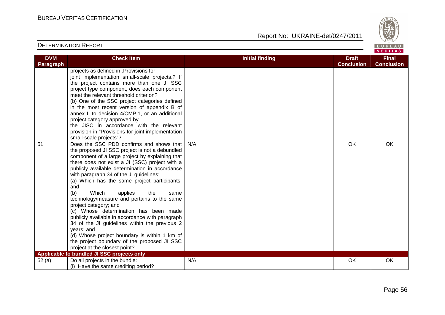

| <b>DVM</b>       | <b>Check Item</b>                                                                                                                                                                                                                                                                                                                                                                                                                                                                                                                                                                                                                                                                                                                                                | <b>Initial finding</b> | <b>Draft</b>      | <b>Final</b>      |
|------------------|------------------------------------------------------------------------------------------------------------------------------------------------------------------------------------------------------------------------------------------------------------------------------------------------------------------------------------------------------------------------------------------------------------------------------------------------------------------------------------------------------------------------------------------------------------------------------------------------------------------------------------------------------------------------------------------------------------------------------------------------------------------|------------------------|-------------------|-------------------|
| <b>Paragraph</b> |                                                                                                                                                                                                                                                                                                                                                                                                                                                                                                                                                                                                                                                                                                                                                                  |                        | <b>Conclusion</b> | <b>Conclusion</b> |
|                  | projects as defined in .Provisions for<br>joint implementation small-scale projects.? If<br>the project contains more than one JI SSC<br>project type component, does each component<br>meet the relevant threshold criterion?<br>(b) One of the SSC project categories defined<br>in the most recent version of appendix B of<br>annex II to decision 4/CMP.1, or an additional<br>project category approved by<br>the JISC in accordance with the relevant<br>provision in "Provisions for joint implementation<br>small-scale projects"?                                                                                                                                                                                                                      |                        |                   |                   |
| 51               | Does the SSC PDD confirms and shows that<br>the proposed JI SSC project is not a debundled<br>component of a large project by explaining that<br>there does not exist a JI (SSC) project with a<br>publicly available determination in accordance<br>with paragraph 34 of the JI guidelines:<br>(a) Which has the same project participants;<br>and<br>(b)<br>Which<br>applies<br>the<br>same<br>technology/measure and pertains to the same<br>project category; and<br>(c) Whose determination has been made<br>publicly available in accordance with paragraph<br>34 of the JI guidelines within the previous 2<br>years; and<br>(d) Whose project boundary is within 1 km of<br>the project boundary of the proposed JI SSC<br>project at the closest point? | N/A                    | OK                | OK                |
|                  | Applicable to bundled JI SSC projects only                                                                                                                                                                                                                                                                                                                                                                                                                                                                                                                                                                                                                                                                                                                       |                        |                   |                   |
| 52 (a)           | Do all projects in the bundle:<br>(i) Have the same crediting period?                                                                                                                                                                                                                                                                                                                                                                                                                                                                                                                                                                                                                                                                                            | N/A                    | OK                | OK                |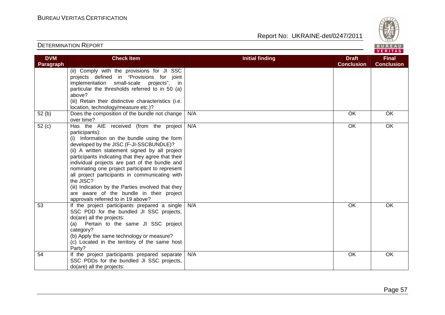

| <b>DETERMINATION REPORT</b> |  |
|-----------------------------|--|
|-----------------------------|--|

| <b>DVM</b> | <b>Check Item</b>                                                                                                                                                                                                                                                                                                                                                                                                                                                                                                                                                       | <b>Initial finding</b> | <b>Draft</b>      | <b>Final</b>      |
|------------|-------------------------------------------------------------------------------------------------------------------------------------------------------------------------------------------------------------------------------------------------------------------------------------------------------------------------------------------------------------------------------------------------------------------------------------------------------------------------------------------------------------------------------------------------------------------------|------------------------|-------------------|-------------------|
| Paragraph  |                                                                                                                                                                                                                                                                                                                                                                                                                                                                                                                                                                         |                        | <b>Conclusion</b> | <b>Conclusion</b> |
|            | (ii) Comply with the provisions for JI SSC<br>projects defined in "Provisions for joint<br>implementation small-scale projects",<br>in.<br>particular the thresholds referred to in 50 (a)<br>above?<br>(iii) Retain their distinctive characteristics (i.e.<br>location, technology/measure etc.)?                                                                                                                                                                                                                                                                     |                        |                   |                   |
| 52(b)      | Does the composition of the bundle not change<br>over time?                                                                                                                                                                                                                                                                                                                                                                                                                                                                                                             | N/A                    | OK                | OK                |
| 52(c)      | Has the AIE received (from the project<br>participants):<br>(i) Information on the bundle using the form<br>developed by the JISC (F-JI-SSCBUNDLE)?<br>(ii) A written statement signed by all project<br>participants indicating that they agree that their<br>individual projects are part of the bundle and<br>nominating one project participant to represent<br>all project participants in communicating with<br>the JISC?<br>(iii) Indication by the Parties involved that they<br>are aware of the bundle in their project<br>approvals referred to in 19 above? | N/A                    | OK                | OK                |
| 53         | If the project participants prepared a single<br>SSC PDD for the bundled JI SSC projects,<br>do(are) all the projects:<br>(a) Pertain to the same JI SSC project<br>category?<br>(b) Apply the same technology or measure?<br>(c) Located in the territory of the same host<br>Party?                                                                                                                                                                                                                                                                                   | N/A                    | OK                | OK                |
| 54         | If the project participants prepared separate<br>SSC PDDs for the bundled JI SSC projects,<br>do(are) all the projects:                                                                                                                                                                                                                                                                                                                                                                                                                                                 | N/A                    | OK                | OK                |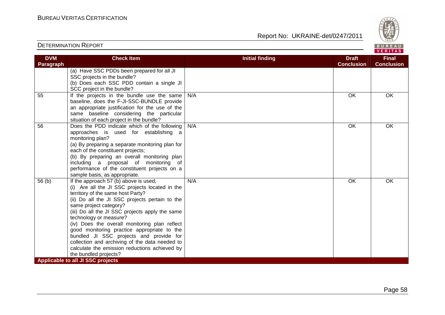

| Report No:  UKRAINE-det/0247/2011 |
|-----------------------------------|
|                                   |

| <b>DVM</b> | <b>Check Item</b>                                                                     | <b>Initial finding</b> | <b>Draft</b>      | <b>Final</b>      |
|------------|---------------------------------------------------------------------------------------|------------------------|-------------------|-------------------|
| Paragraph  |                                                                                       |                        | <b>Conclusion</b> | <b>Conclusion</b> |
|            | (a) Have SSC PDDs been prepared for all JI                                            |                        |                   |                   |
|            | SSC projects in the bundle?                                                           |                        |                   |                   |
|            | (b) Does each SSC PDD contain a single JI                                             |                        |                   |                   |
|            | SCC project in the bundle?                                                            |                        |                   |                   |
| 55         | If the projects in the bundle use the same                                            | N/A                    | OK                | OK                |
|            | baseline, does the F-JI-SSC-BUNDLE provide                                            |                        |                   |                   |
|            | an appropriate justification for the use of the                                       |                        |                   |                   |
|            | same baseline considering the particular                                              |                        |                   |                   |
|            | situation of each project in the bundle?                                              |                        |                   |                   |
| 56         | Does the PDD indicate which of the following                                          | N/A                    | OK                | OK                |
|            | approaches is used for establishing a                                                 |                        |                   |                   |
|            | monitoring plan?                                                                      |                        |                   |                   |
|            | (a) By preparing a separate monitoring plan for                                       |                        |                   |                   |
|            | each of the constituent projects;                                                     |                        |                   |                   |
|            | (b) By preparing an overall monitoring plan                                           |                        |                   |                   |
|            | including a proposal of monitoring of<br>performance of the constituent projects on a |                        |                   |                   |
|            | sample basis, as appropriate.                                                         |                        |                   |                   |
| 56(b)      | If the approach 57 (b) above is used,                                                 | N/A                    | OK                | <b>OK</b>         |
|            | (i) Are all the JI SSC projects located in the                                        |                        |                   |                   |
|            | territory of the same host Party?                                                     |                        |                   |                   |
|            | (ii) Do all the JI SSC projects pertain to the                                        |                        |                   |                   |
|            | same project category?                                                                |                        |                   |                   |
|            | (iii) Do all the JI SSC projects apply the same                                       |                        |                   |                   |
|            | technology or measure?                                                                |                        |                   |                   |
|            | (iv) Does the overall monitoring plan reflect                                         |                        |                   |                   |
|            | good monitoring practice appropriate to the                                           |                        |                   |                   |
|            | bundled JI SSC projects and provide for                                               |                        |                   |                   |
|            | collection and archiving of the data needed to                                        |                        |                   |                   |
|            | calculate the emission reductions achieved by                                         |                        |                   |                   |
|            | the bundled projects?                                                                 |                        |                   |                   |
|            | Applicable to all JI SSC projects                                                     |                        |                   |                   |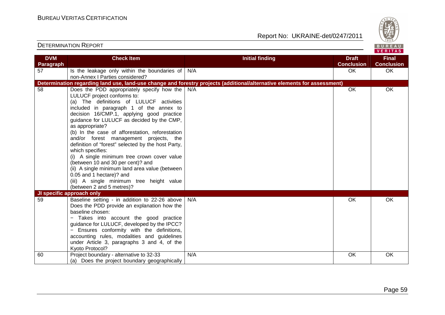

| <b>DVM</b> | <b>Check Item</b>                                                      | <b>Initial finding</b>                                                                                                   | <b>Draft</b>      | <b>Final</b>      |
|------------|------------------------------------------------------------------------|--------------------------------------------------------------------------------------------------------------------------|-------------------|-------------------|
| Paragraph  |                                                                        |                                                                                                                          | <b>Conclusion</b> | <b>Conclusion</b> |
| 57         | Is the leakage only within the boundaries of                           | N/A                                                                                                                      | OK                | OK                |
|            | non-Annex   Parties considered?                                        |                                                                                                                          |                   |                   |
|            |                                                                        | Determination regarding land use, land-use change and forestry projects (additional/alternative elements for assessment) |                   |                   |
| 58         | Does the PDD appropriately specify how the $\big  N/A$                 |                                                                                                                          | OK                | OK                |
|            | LULUCF project conforms to:                                            |                                                                                                                          |                   |                   |
|            | (a) The definitions of LULUCF activities                               |                                                                                                                          |                   |                   |
|            | included in paragraph 1 of the annex to                                |                                                                                                                          |                   |                   |
|            | decision 16/CMP.1, applying good practice                              |                                                                                                                          |                   |                   |
|            | guidance for LULUCF as decided by the CMP,                             |                                                                                                                          |                   |                   |
|            | as appropriate?                                                        |                                                                                                                          |                   |                   |
|            | (b) In the case of afforestation, reforestation                        |                                                                                                                          |                   |                   |
|            | and/or forest management projects, the                                 |                                                                                                                          |                   |                   |
|            | definition of "forest" selected by the host Party,<br>which specifies: |                                                                                                                          |                   |                   |
|            | (i) A single minimum tree crown cover value                            |                                                                                                                          |                   |                   |
|            | (between 10 and 30 per cent)? and                                      |                                                                                                                          |                   |                   |
|            | (ii) A single minimum land area value (between                         |                                                                                                                          |                   |                   |
|            | 0.05 and 1 hectare)? and                                               |                                                                                                                          |                   |                   |
|            | (iii) A single minimum tree height value                               |                                                                                                                          |                   |                   |
|            | (between 2 and 5 metres)?                                              |                                                                                                                          |                   |                   |
|            | JI specific approach only                                              |                                                                                                                          |                   |                   |
| 59         | Baseline setting - in addition to 22-26 above                          | N/A                                                                                                                      | OK                | OK                |
|            | Does the PDD provide an explanation how the                            |                                                                                                                          |                   |                   |
|            | baseline chosen:                                                       |                                                                                                                          |                   |                   |
|            | - Takes into account the good practice                                 |                                                                                                                          |                   |                   |
|            | guidance for LULUCF, developed by the IPCC?                            |                                                                                                                          |                   |                   |
|            | - Ensures conformity with the definitions,                             |                                                                                                                          |                   |                   |
|            | accounting rules, modalities and guidelines                            |                                                                                                                          |                   |                   |
|            | under Article 3, paragraphs 3 and 4, of the                            |                                                                                                                          |                   |                   |
|            | Kyoto Protocol?                                                        |                                                                                                                          |                   |                   |
| 60         | Project boundary - alternative to 32-33                                | N/A                                                                                                                      | OK                | OK                |
|            | (a) Does the project boundary geographically                           |                                                                                                                          |                   |                   |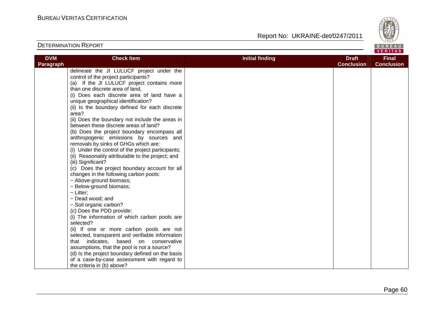

| <b>DVM</b> | <b>Check Item</b>                                  | <b>Initial finding</b> | <b>Draft</b>      | <b>Final</b>      |
|------------|----------------------------------------------------|------------------------|-------------------|-------------------|
| Paragraph  |                                                    |                        | <b>Conclusion</b> | <b>Conclusion</b> |
|            | delineate the JI LULUCF project under the          |                        |                   |                   |
|            | control of the project participants?               |                        |                   |                   |
|            | (a) If the JI LULUCF project contains more         |                        |                   |                   |
|            | than one discrete area of land,                    |                        |                   |                   |
|            | (i) Does each discrete area of land have a         |                        |                   |                   |
|            | unique geographical identification?                |                        |                   |                   |
|            | (ii) Is the boundary defined for each discrete     |                        |                   |                   |
|            | area?                                              |                        |                   |                   |
|            | (ii) Does the boundary not include the areas in    |                        |                   |                   |
|            | between these discrete areas of land?              |                        |                   |                   |
|            | (b) Does the project boundary encompass all        |                        |                   |                   |
|            | anthropogenic emissions by sources and             |                        |                   |                   |
|            | removals by sinks of GHGs which are:               |                        |                   |                   |
|            | (i) Under the control of the project participants; |                        |                   |                   |
|            | (ii) Reasonably attributable to the project; and   |                        |                   |                   |
|            | (iii) Significant?                                 |                        |                   |                   |
|            | (c) Does the project boundary account for all      |                        |                   |                   |
|            | changes in the following carbon pools:             |                        |                   |                   |
|            | - Above-ground biomass;                            |                        |                   |                   |
|            | - Below-ground biomass;                            |                        |                   |                   |
|            | - Litter;                                          |                        |                   |                   |
|            | - Dead wood; and                                   |                        |                   |                   |
|            | - Soil organic carbon?                             |                        |                   |                   |
|            | (c) Does the PDD provide:                          |                        |                   |                   |
|            | (i) The information of which carbon pools are      |                        |                   |                   |
|            | selected?                                          |                        |                   |                   |
|            | (ii) If one or more carbon pools are not           |                        |                   |                   |
|            | selected, transparent and verifiable information   |                        |                   |                   |
|            | that indicates, based on conservative              |                        |                   |                   |
|            | assumptions, that the pool is not a source?        |                        |                   |                   |
|            | (d) Is the project boundary defined on the basis   |                        |                   |                   |
|            | of a case-by-case assessment with regard to        |                        |                   |                   |
|            | the criteria in (b) above?                         |                        |                   |                   |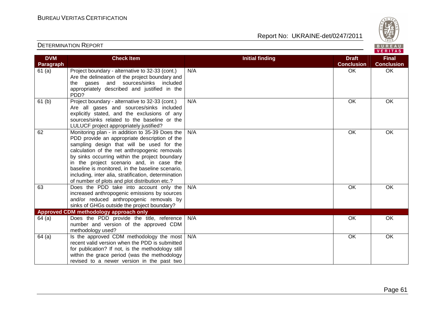Report No: UKRAINE-det/0247/2011



#### VERITAS **Check Item Initial finding Check Item Initial finding Check Item Initial finding Check Item Initial finding DVM Final Paragraph Conclusion Conclusion** 61 (a) Project boundary - alternative to 32-33 (cont.) N/A OK OK OK Are the delineation of the project boundary and the gases and sources/sinks included appropriately described and justified in the PDD? 61 (b) Project boundary - alternative to 32-33 (cont.) N/A OK OK OK Are all gases and sources/sinks included explicitly stated, and the exclusions of any sources/sinks related to the baseline or the LULUCF project appropriately justified? 62 Monitoring plan - in addition to 35-39 Does the N/A OK OK OK PDD provide an appropriate description of the sampling design that will be used for the calculation of the net anthropogenic removals by sinks occurring within the project boundary in the project scenario and, in case the baseline is monitored, in the baseline scenario, including, inter alia, stratification, determination of number of plots and plot distribution etc.? 63 Does the PDD take into account only the N/A OK OK OK increased anthropogenic emissions by sources and/or reduced anthropogenic removals by sinks of GHGs outside the project boundary? **Approved CDM methodology approach only**  64 (a) Does the PDD provide the title, reference N/A OK OK OK number and version of the approved CDM methodology used?  $64$  (a) | Is the approved CDM methodology the most N/A OK OK OK recent valid version when the PDD is submitted for publication? If not, is the methodology still within the grace period (was the methodology revised to a newer version in the past two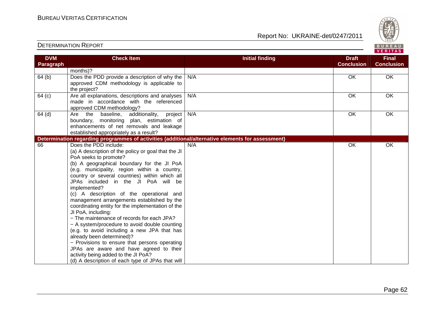

| <b>DVM</b><br>Paragraph | <b>Check Item</b>                                                                                                                                                                                                                                                                                                                                                                                                                                                                                                                                                                                                                                                                                                                                                                                                                                   | <b>Initial finding</b> | <b>Draft</b><br><b>Conclusion</b> | <b>Final</b><br><b>Conclusion</b> |
|-------------------------|-----------------------------------------------------------------------------------------------------------------------------------------------------------------------------------------------------------------------------------------------------------------------------------------------------------------------------------------------------------------------------------------------------------------------------------------------------------------------------------------------------------------------------------------------------------------------------------------------------------------------------------------------------------------------------------------------------------------------------------------------------------------------------------------------------------------------------------------------------|------------------------|-----------------------------------|-----------------------------------|
|                         | months)?                                                                                                                                                                                                                                                                                                                                                                                                                                                                                                                                                                                                                                                                                                                                                                                                                                            |                        |                                   |                                   |
| 64(b)                   | Does the PDD provide a description of why the<br>approved CDM methodology is applicable to<br>the project?                                                                                                                                                                                                                                                                                                                                                                                                                                                                                                                                                                                                                                                                                                                                          | N/A                    | OK                                | OK                                |
| 64 (c)                  | Are all explanations, descriptions and analyses<br>made in accordance with the referenced<br>approved CDM methodology?                                                                                                                                                                                                                                                                                                                                                                                                                                                                                                                                                                                                                                                                                                                              | N/A                    | OK                                | OK                                |
| $64$ (d)                | Are the baseline, additionality, project<br>boundary, monitoring plan, estimation of<br>enhancements of net removals and leakage<br>established appropriately as a result?                                                                                                                                                                                                                                                                                                                                                                                                                                                                                                                                                                                                                                                                          | N/A                    | OK                                | OK                                |
|                         | Determination regarding programmes of activities (additional/alternative elements for assessment)                                                                                                                                                                                                                                                                                                                                                                                                                                                                                                                                                                                                                                                                                                                                                   |                        |                                   |                                   |
| 66                      | Does the PDD include:<br>(a) A description of the policy or goal that the JI<br>PoA seeks to promote?<br>(b) A geographical boundary for the JI PoA<br>(e.g. municipality, region within a country,<br>country or several countries) within which all<br>JPAs included in the JI PoA will be<br>implemented?<br>(c) A description of the operational and<br>management arrangements established by the<br>coordinating entity for the implementation of the<br>JI PoA, including:<br>- The maintenance of records for each JPA?<br>- A system/procedure to avoid double counting<br>(e.g. to avoid including a new JPA that has<br>already been determined)?<br>- Provisions to ensure that persons operating<br>JPAs are aware and have agreed to their<br>activity being added to the JI PoA?<br>(d) A description of each type of JPAs that will | N/A                    | OK                                | OK                                |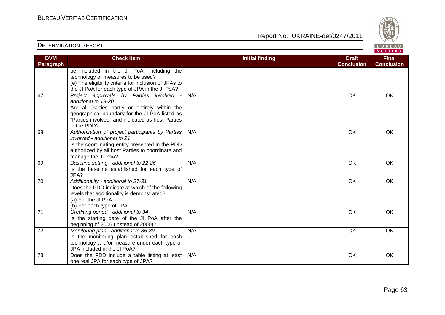BUREAU<br>VERITAS

| <b>DETERMINATION REPORT</b> |  |
|-----------------------------|--|
|-----------------------------|--|

| <b>DVM</b><br>Paragraph | <b>Check Item</b>                                                                                                                                                                                                                    | <b>Initial finding</b> | <b>Draft</b><br><b>Conclusion</b> | <b>Final</b><br><b>Conclusion</b> |
|-------------------------|--------------------------------------------------------------------------------------------------------------------------------------------------------------------------------------------------------------------------------------|------------------------|-----------------------------------|-----------------------------------|
|                         | be included in the JI PoA, including the<br>technology or measures to be used?<br>(e) The eligibility criteria for inclusion of JPAs to<br>the JI PoA for each type of JPA in the JI PoA?                                            |                        |                                   |                                   |
| 67                      | Project approvals by Parties involved -<br>additional to 19-20<br>Are all Parties partly or entirely within the<br>geographical boundary for the JI PoA listed as<br>"Parties involved" and indicated as host Parties<br>in the PDD? | N/A                    | OK                                | <b>OK</b>                         |
| 68                      | Authorization of project participants by Parties<br>involved - additional to 21<br>Is the coordinating entity presented in the PDD<br>authorized by all host Parties to coordinate and<br>manage the JI PoA?                         | N/A                    | OK                                | OK                                |
| 69                      | Baseline setting - additional to 22-26<br>Is the baseline established for each type of<br>JPA?                                                                                                                                       | N/A                    | <b>OK</b>                         | OK                                |
| 70                      | Additionality - additional to 27-31<br>Does the PDD indicate at which of the following<br>levels that additionality is demonstrated?<br>(a) For the JI PoA<br>(b) For each type of JPA                                               | N/A                    | <b>OK</b>                         | OK                                |
| 71                      | Crediting period - additional to 34<br>Is the starting date of the JI PoA after the<br>beginning of 2006 (instead of 2000)?                                                                                                          | N/A                    | <b>OK</b>                         | <b>OK</b>                         |
| 72                      | Monitoring plan - additional to 35-39<br>Is the monitoring plan established for each<br>technology and/or measure under each type of<br>JPA included in the JI PoA?                                                                  | N/A                    | OK                                | OK                                |
| 73                      | Does the PDD include a table listing at least<br>one real JPA for each type of JPA?                                                                                                                                                  | N/A                    | OK                                | OK                                |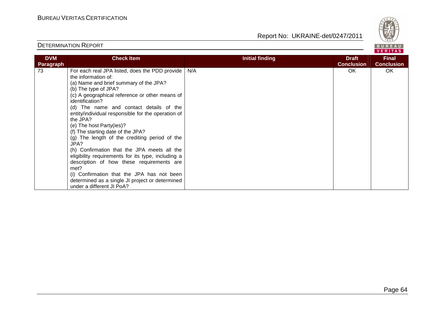

| <b>DVM</b><br>Paragraph | <b>Check Item</b>                                                                                                                                                                                                                                                                                                                                                                                                                                                                                                                                                                                                                                                                                                                           | <b>Initial finding</b> | <b>Draft</b><br><b>Conclusion</b> | <b>Final</b><br><b>Conclusion</b> |
|-------------------------|---------------------------------------------------------------------------------------------------------------------------------------------------------------------------------------------------------------------------------------------------------------------------------------------------------------------------------------------------------------------------------------------------------------------------------------------------------------------------------------------------------------------------------------------------------------------------------------------------------------------------------------------------------------------------------------------------------------------------------------------|------------------------|-----------------------------------|-----------------------------------|
| 73                      | For each real JPA listed, does the PDD provide<br>the information of:<br>(a) Name and brief summary of the JPA?<br>(b) The type of JPA?<br>(c) A geographical reference or other means of<br>identification?<br>(d) The name and contact details of the<br>entity/individual responsible for the operation of<br>the JPA?<br>(e) The host Party(ies)?<br>(f) The starting date of the JPA?<br>(g) The length of the crediting period of the<br>JPA?<br>(h) Confirmation that the JPA meets all the<br>eligibility requirements for its type, including a<br>description of how these requirements are<br>met?<br>(i) Confirmation that the JPA has not been<br>determined as a single JI project or determined<br>under a different JI PoA? | N/A                    | OK.                               | OK.                               |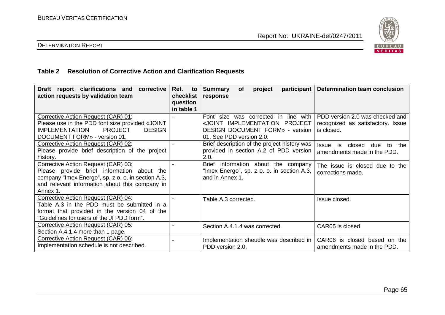

#### DETERMINATION REPORT

#### **Table 2 Resolution of Corrective Action and Clarification Requests**

| Draft report clarifications and<br>corrective<br>action requests by validation team                                                                                                                   | Ref.<br>to<br>checklist<br>question<br>in table 1 | participant<br><b>Summary</b><br><b>of</b><br>project<br>response                                                                           | Determination team conclusion                                                          |
|-------------------------------------------------------------------------------------------------------------------------------------------------------------------------------------------------------|---------------------------------------------------|---------------------------------------------------------------------------------------------------------------------------------------------|----------------------------------------------------------------------------------------|
| Corrective Action Request (CAR) 01:<br>Please use in the PDD font size provided «JOINT<br><b>PROJECT</b><br><b>IMPLEMENTATION</b><br><b>DESIGN</b><br>DOCUMENT FORM» - version 01.                    |                                                   | Font size was corrected in line with<br>«JOINT IMPLEMENTATION PROJECT<br><b>DESIGN DOCUMENT FORM» - version</b><br>01. See PDD version 2.0. | PDD version 2.0 was checked and<br>recognized as satisfactory. Issue<br>is closed.     |
| Corrective Action Request (CAR) 02:<br>Please provide brief description of the project<br>history.                                                                                                    |                                                   | Brief description of the project history was<br>provided in section A.2 of PDD version<br>2.0.                                              | closed<br><i><b>Issue</b></i><br>is<br>due<br>the<br>to<br>amendments made in the PDD. |
| Corrective Action Request (CAR) 03:<br>Please provide brief information about the<br>company "Imex Energo", sp. z o. o. in section A.3,<br>and relevant information about this company in<br>Annex 1. |                                                   | <b>Brief</b><br>information about the company<br>"Imex Energo", sp. z o. o. in section A.3,<br>and in Annex 1.                              | The issue is closed due to the<br>corrections made.                                    |
| Corrective Action Request (CAR) 04:<br>Table A.3 in the PDD must be submitted in a<br>format that provided in the version 04 of the<br>"Guidelines for users of the JI PDD form".                     |                                                   | Table A.3 corrected.                                                                                                                        | Issue closed.                                                                          |
| Corrective Action Request (CAR) 05:<br>Section A.4.1.4 more than 1 page.                                                                                                                              |                                                   | Section A.4.1.4 was corrected.                                                                                                              | CAR05 is closed                                                                        |
| Corrective Action Request (CAR) 06:<br>Implementation schedule is not described.                                                                                                                      |                                                   | Implementation sheudle was described in<br>PDD version 2.0.                                                                                 | CAR06 is closed based on the<br>amendments made in the PDD.                            |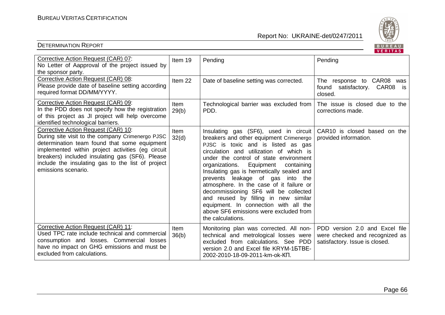

|                                                                                                                                                                                                                                                                                                                             |                    |                                                                                                                                                                                                                                                                                                                                                                                                                                                                                                                                                                                | <b>VERIIAS</b>                                                                                     |
|-----------------------------------------------------------------------------------------------------------------------------------------------------------------------------------------------------------------------------------------------------------------------------------------------------------------------------|--------------------|--------------------------------------------------------------------------------------------------------------------------------------------------------------------------------------------------------------------------------------------------------------------------------------------------------------------------------------------------------------------------------------------------------------------------------------------------------------------------------------------------------------------------------------------------------------------------------|----------------------------------------------------------------------------------------------------|
| Corrective Action Request (CAR) 07:<br>No Letter of Aapproval of the project issued by<br>the sponsor party.                                                                                                                                                                                                                | Item 19            | Pending                                                                                                                                                                                                                                                                                                                                                                                                                                                                                                                                                                        | Pending                                                                                            |
| Corrective Action Request (CAR) 08:<br>Please provide date of baseline setting according<br>required format DD/MM/YYYY.                                                                                                                                                                                                     | Item <sub>22</sub> | Date of baseline setting was corrected.                                                                                                                                                                                                                                                                                                                                                                                                                                                                                                                                        | The response to CAR08<br>was<br>found satisfactory. CAR08<br>is.<br>closed.                        |
| Corrective Action Request (CAR) 09:<br>In the PDD does not specify how the registration<br>of this project as JI project will help overcome<br>identified technological barriers.                                                                                                                                           | Item<br>29(b)      | Technological barrier was excluded from<br>PDD.                                                                                                                                                                                                                                                                                                                                                                                                                                                                                                                                | The issue is closed due to the<br>corrections made.                                                |
| Corrective Action Request (CAR) 10:<br>During site visit to the company Crimenergo PJSC<br>determination team found that some equipment<br>implemented within project activities (eg circuit<br>breakers) included insulating gas (SF6). Please<br>include the insulating gas to the list of project<br>emissions scenario. | Item<br>32(d)      | Insulating gas (SF6), used in circuit<br>breakers and other equipment Crimenergo<br>PJSC is toxic and is listed as gas<br>circulation and utilization of which is<br>under the control of state environment<br>organizations.<br>Equipment<br>containing<br>Insulating gas is hermetically sealed and<br>prevents leakage of gas into the<br>atmosphere. In the case of it failure or<br>decommissioning SF6 will be collected<br>and reused by filling in new similar<br>equipment. In connection with all the<br>above SF6 emissions were excluded from<br>the calculations. | CAR10 is closed based on the<br>provided information.                                              |
| Corrective Action Request (CAR) 11:<br>Used TPC rate include technical and commercial<br>consumption and losses. Commercial losses<br>have no impact on GHG emissions and must be<br>excluded from calculations.                                                                                                            | Item<br>36(b)      | Monitoring plan was corrected. All non-<br>technical and metrological losses were<br>excluded from calculations. See PDD<br>version 2.0 and Excel file KRYM-15TBE-<br>2002-2010-18-09-2011-km-ok-КП.                                                                                                                                                                                                                                                                                                                                                                           | PDD version 2.0 and Excel file<br>were checked and recognized as<br>satisfactory. Issue is closed. |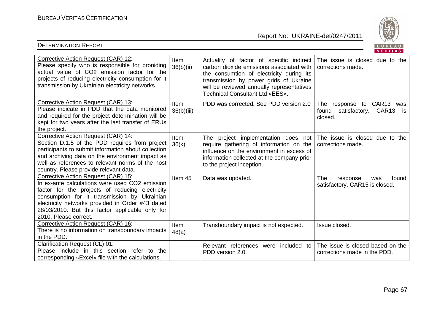

| Corrective Action Request (CAR) 12:<br>Please specify who is responsible for proniding<br>actual value of CO2 emission factor for the<br>projects of reducing electricity consumption for it<br>transmission by Ukrainian electricity networks.                                                                          | Item<br>36(b)(ii)  | Actuality of factor of specific indirect<br>carbon dioxide emissions associated with<br>the consumtion of electricity during its<br>transmission by power grids of Ukraine<br>will be reviewed annually representatives<br>Technical Consultant Ltd «EES». | The issue is closed due to the<br>corrections made.                         |
|--------------------------------------------------------------------------------------------------------------------------------------------------------------------------------------------------------------------------------------------------------------------------------------------------------------------------|--------------------|------------------------------------------------------------------------------------------------------------------------------------------------------------------------------------------------------------------------------------------------------------|-----------------------------------------------------------------------------|
| Corrective Action Request (CAR) 13:<br>Please indicate in PDD that the data monitored<br>and required for the project determination will be<br>kept for two years after the last transfer of ERUs<br>the project.                                                                                                        | Item<br>36(b)(iii) | PDD was corrected. See PDD version 2.0                                                                                                                                                                                                                     | The response to CAR13 was<br>satisfactory. CAR13<br>found<br>is.<br>closed. |
| Corrective Action Request (CAR) 14:<br>Section D.1.5 of the PDD requires from project<br>participants to submit information about collection<br>and archiving data on the environment impact as<br>well as references to relevant norms of the host<br>country. Please provide relevant data.                            | Item<br>36(k)      | The project implementation does not<br>require gathering of information on the<br>influence on the environment in excess of<br>information collected at the company prior<br>to the project inception.                                                     | The issue is closed due to the<br>corrections made.                         |
| Corrective Action Request (CAR) 15:<br>In ex-ante calculations were used CO2 emission<br>factor for the projects of reducing electricity<br>consumption for it transmission by Ukrainian<br>electricity networks provided in Order #43 dated<br>28/03/2010. But this factor applicable only for<br>2010. Please correct. | Item 45            | Data was updated.                                                                                                                                                                                                                                          | found<br>The<br>response<br>was<br>satisfactory. CAR15 is closed.           |
| Corrective Action Request (CAR) 16:<br>There is no information on transboundary impacts<br>in the PDD.                                                                                                                                                                                                                   | Item<br>48(a)      | Transboundary impact is not expected.                                                                                                                                                                                                                      | Issue closed.                                                               |
| Clarification Request (CL) 01:<br>Please include in this section refer to the<br>corresponding «Excel» file with the calculations.                                                                                                                                                                                       |                    | Relevant references were included<br>to<br>PDD version 2.0.                                                                                                                                                                                                | The issue is closed based on the<br>corrections made in the PDD.            |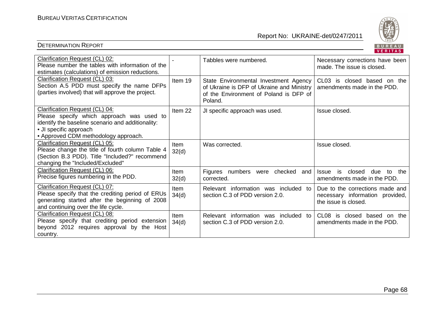

|                                                                                                                                                                                                    |                      |                                                                                                                                         | . <u>.</u>                                                                                 |
|----------------------------------------------------------------------------------------------------------------------------------------------------------------------------------------------------|----------------------|-----------------------------------------------------------------------------------------------------------------------------------------|--------------------------------------------------------------------------------------------|
| Clarification Request (CL) 02:<br>Please number the tables with information of the<br>estimates (calculations) of emission reductions.                                                             |                      | Tabbles were numbered.                                                                                                                  | Necessary corrections have been<br>made. The issue is closed.                              |
| Clarification Request (CL) 03:<br>Section A.5 PDD must specify the name DFPs<br>(parties involved) that will approve the project.                                                                  | Item 19              | State Environmental Investment Agency<br>of Ukraine is DFP of Ukraine and Ministry<br>of the Environment of Poland is DFP of<br>Poland. | CL03 is closed based on the<br>amendments made in the PDD.                                 |
| Clarification Request (CL) 04:<br>Please specify which approach was used to<br>identify the baseline scenario and additionality:<br>• JI specific approach<br>• Approved CDM methodology approach. | Item 22              | JI specific approach was used.                                                                                                          | Issue closed.                                                                              |
| Clarification Request (CL) 05:<br>Please change the title of fourth column Table 4<br>(Section B.3 PDD). Title "Included?" recommend<br>changing the "Included/Excluded"                           | <b>Item</b><br>32(d) | Was corrected.                                                                                                                          | Issue closed.                                                                              |
| Clarification Request (CL) 06:<br>Precise figures numbering in the PDD.                                                                                                                            | Item<br>32(d)        | Figures numbers were<br>checked<br>and<br>corrected.                                                                                    | closed<br>the<br><b>Issue</b><br>is<br>due<br>to<br>amendments made in the PDD.            |
| Clarification Request (CL) 07:<br>Please specify that the crediting period of ERUs<br>generating started after the beginning of 2008<br>and continuing over the life cycle.                        | <b>Item</b><br>34(d) | Relevant information was included to<br>section C.3 of PDD version 2.0.                                                                 | Due to the corrections made and<br>necessary information provided,<br>the issue is closed. |
| Clarification Request (CL) 08:<br>Please specify that crediting period extension<br>beyond 2012 requires approval by the Host<br>country.                                                          | Item<br>34(d)        | Relevant information was included to<br>section C.3 of PDD version 2.0.                                                                 | CL <sub>08</sub><br>is<br>closed based on the<br>amendments made in the PDD.               |